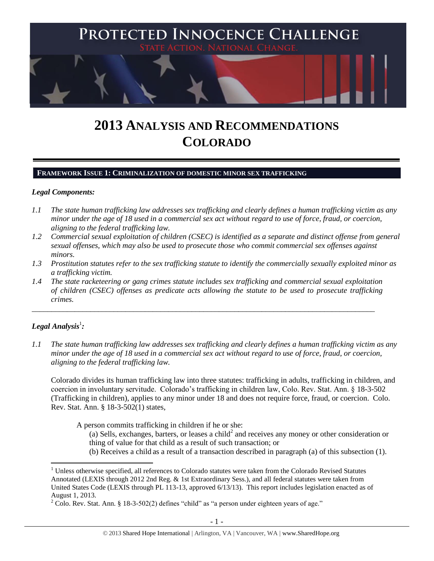

# **2013 ANALYSIS AND RECOMMENDATIONS COLORADO**

#### **FRAMEWORK ISSUE 1: CRIMINALIZATION OF DOMESTIC MINOR SEX TRAFFICKING**

#### *Legal Components:*

- *1.1 The state human trafficking law addresses sex trafficking and clearly defines a human trafficking victim as any minor under the age of 18 used in a commercial sex act without regard to use of force, fraud, or coercion, aligning to the federal trafficking law.*
- *1.2 Commercial sexual exploitation of children (CSEC) is identified as a separate and distinct offense from general sexual offenses, which may also be used to prosecute those who commit commercial sex offenses against minors.*
- *1.3 Prostitution statutes refer to the sex trafficking statute to identify the commercially sexually exploited minor as a trafficking victim.*
- *1.4 The state racketeering or gang crimes statute includes sex trafficking and commercial sexual exploitation of children (CSEC) offenses as predicate acts allowing the statute to be used to prosecute trafficking crimes.*

\_\_\_\_\_\_\_\_\_\_\_\_\_\_\_\_\_\_\_\_\_\_\_\_\_\_\_\_\_\_\_\_\_\_\_\_\_\_\_\_\_\_\_\_\_\_\_\_\_\_\_\_\_\_\_\_\_\_\_\_\_\_\_\_\_\_\_\_\_\_\_\_\_\_\_\_\_\_\_\_\_\_\_\_\_\_\_\_

# $\bm{\mathit{Legal\; Analysis^1:}}$

 $\overline{a}$ 

*1.1 The state human trafficking law addresses sex trafficking and clearly defines a human trafficking victim as any minor under the age of 18 used in a commercial sex act without regard to use of force, fraud, or coercion, aligning to the federal trafficking law.*

Colorado divides its human trafficking law into three statutes: trafficking in adults, trafficking in children, and coercion in involuntary servitude. Colorado's trafficking in children law, Colo. Rev. Stat. Ann. § 18-3-502 (Trafficking in children), applies to any minor under 18 and does not require force, fraud, or coercion. Colo. Rev. Stat. Ann. § 18-3-502(1) states,

A person commits trafficking in children if he or she:

- (a) Sells, exchanges, barters, or leases a child<sup>2</sup> and receives any money or other consideration or thing of value for that child as a result of such transaction; or
- (b) Receives a child as a result of a transaction described in paragraph (a) of this subsection (1).

<sup>&</sup>lt;sup>1</sup> Unless otherwise specified, all references to Colorado statutes were taken from the Colorado Revised Statutes Annotated (LEXIS through 2012 2nd Reg. & 1st Extraordinary Sess.), and all federal statutes were taken from United States Code (LEXIS through PL 113-13, approved 6/13/13). This report includes legislation enacted as of August 1, 2013.

<sup>&</sup>lt;sup>2</sup> Colo. Rev. Stat. Ann. § 18-3-502(2) defines "child" as "a person under eighteen years of age."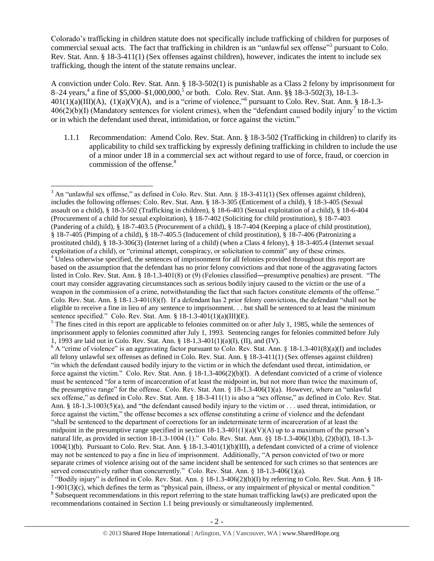<span id="page-1-0"></span>Colorado's trafficking in children statute does not specifically include trafficking of children for purposes of commercial sexual acts. The fact that trafficking in children is an "unlawful sex offense"<sup>3</sup> pursuant to Colo. Rev. Stat. Ann. § 18-3-411(1) (Sex offenses against children), however, indicates the intent to include sex trafficking, though the intent of the statute remains unclear.

A conviction under Colo. Rev. Stat. Ann. § 18-3-502(1) is punishable as a Class 2 felony by imprisonment for 8–24 years,<sup>4</sup> a fine of \$5,000–\$1,000,000,<sup>5</sup> or both. Colo. Rev. Stat. Ann. §§ 18-3-502(3), 18-1.3- $401(1)(a)(III)(A)$ ,  $(1)(a)(V)(A)$ , and is a "crime of violence,"<sup>6</sup> pursuant to Colo. Rev. Stat. Ann. § 18-1.3- $406(2)(b)(I)$  (Mandatory sentences for violent crimes), when the "defendant caused bodily injury<sup>7</sup> to the victim or in which the defendant used threat, intimidation, or force against the victim."

<span id="page-1-1"></span>1.1.1 Recommendation: Amend Colo. Rev. Stat. Ann. § 18-3-502 (Trafficking in children) to clarify its applicability to child sex trafficking by expressly defining trafficking in children to include the use of a minor under 18 in a commercial sex act without regard to use of force, fraud, or coercion in commission of the offense.<sup>8</sup>

l

<sup>&</sup>lt;sup>3</sup> An "unlawful sex offense," as defined in Colo. Rev. Stat. Ann. § 18-3-411(1) (Sex offenses against children), includes the following offenses: Colo. Rev. Stat. Ann. § 18-3-305 (Enticement of a child), § 18-3-405 (Sexual assault on a child), § 18-3-502 (Trafficking in children), § 18-6-403 (Sexual exploitation of a child), § 18-6-404 (Procurement of a child for sexual exploitation), § 18-7-402 (Soliciting for child prostitution), § 18-7-403 (Pandering of a child), § 18-7-403.5 (Procurement of a child), § 18-7-404 (Keeping a place of child prostitution), § 18-7-405 (Pimping of a child), § 18-7-405.5 (Inducement of child prostitution), § 18-7-406 (Patronizing a prostituted child), § 18-3-306(3) (Internet luring of a child) (when a Class 4 felony), § 18-3-405.4 (Internet sexual exploitation of a child), or "criminal attempt, conspiracy, or solicitation to commit" any of these crimes.  $4 \text{ V}$  Unless otherwise specified, the sentences of imprisonment for all felonies provided throughout this report are based on the assumption that the defendant has no prior felony convictions and that none of the aggravating factors listed in Colo. Rev. Stat. Ann. § 18-1.3-401(8) or (9) (Felonies classified―presumptive penalties) are present. "The court may consider aggravating circumstances such as serious bodily injury caused to the victim or the use of a weapon in the commission of a crime, notwithstanding the fact that such factors constitute elements of the offense." Colo. Rev. Stat. Ann. § 18-1.3-401(8)(f). If a defendant has 2 prior felony convictions, the defendant "shall not be

eligible to receive a fine in lieu of any sentence to imprisonment. . . but shall be sentenced to at least the minimum sentence specified." Colo. Rev. Stat. Ann. § 18-1.3-401(1)(a)(III)(E).  $<sup>5</sup>$  The fines cited in this report are applicable to felonies committed on or after July 1, 1985, while the sentences of</sup> imprisonment apply to felonies committed after July 1, 1993. Sentencing ranges for felonies committed before July

<sup>1, 1993</sup> are laid out in Colo. Rev. Stat. Ann. § 18-1.3-401(1)(a)(I), (II), and (IV).

 $6$  A "crime of violence" is an aggravating factor pursuant to Colo. Rev. Stat. Ann. § 18-1.3-401(8)(a)(I) and includes all felony unlawful sex offenses as defined in Colo. Rev. Stat. Ann. § 18-3-411(1) (Sex offenses against children) "in which the defendant caused bodily injury to the victim or in which the defendant used threat, intimidation, or force against the victim." Colo. Rev. Stat. Ann. § 18-1.3-406(2)(b)(I). A defendant convicted of a crime of violence must be sentenced "for a term of incarceration of at least the midpoint in, but not more than twice the maximum of, the presumptive range" for the offense. Colo. Rev. Stat. Ann. § 18-1.3-406(1)(a). However, where an "unlawful sex offense," as defined in Colo. Rev. Stat. Ann. § 18-3-411(1) is also a "sex offense," as defined in Colo. Rev. Stat. Ann. § 18-1.3-1003(5)(a), and "the defendant caused bodily injury to the victim or . . . used threat, intimidation, or force against the victim," the offense becomes a sex offense constituting a crime of violence and the defendant "shall be sentenced to the department of corrections for an indeterminate term of incarceration of at least the midpoint in the presumptive range specified in section  $18{\text -}1.3{\text -}401(1)(a)(V)(A)$  up to a maximum of the person's natural life, as provided in section 18-1.3-1004 (1)." Colo. Rev. Stat. Ann. §§ 18-1.3-406(1)(b), (2)(b)(I), 18-1.3- 1004(1)(b). Pursuant to Colo. Rev. Stat. Ann. § 18-1.3-401(1)(b)(III), a defendant convicted of a crime of violence may not be sentenced to pay a fine in lieu of imprisonment. Additionally, "A person convicted of two or more separate crimes of violence arising out of the same incident shall be sentenced for such crimes so that sentences are served consecutively rather than concurrently." Colo. Rev. Stat. Ann. § 18-1.3-406(1)(a).<br><sup>7</sup> "Bodily injury" is defined in Colo. Rev. Stat. Ann. § 18-1.3-406(2)(b)(I) by referring to Colo. Rev. Stat. Ann. § 18-

<sup>1-901(3)(</sup>c), which defines the term as "physical pain, illness, or any impairment of physical or mental condition."  $8$  Subsequent recommendations in this report referring to the state human trafficking law(s) are predicated upon the recommendations contained in Section 1.1 being previously or simultaneously implemented.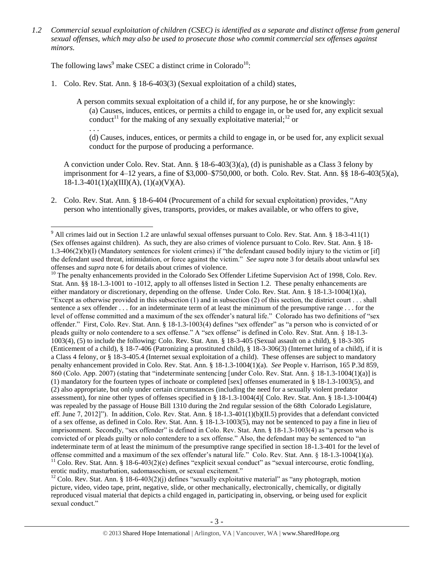*1.2 Commercial sexual exploitation of children (CSEC) is identified as a separate and distinct offense from general sexual offenses, which may also be used to prosecute those who commit commercial sex offenses against minors.*

The following laws<sup>9</sup> make CSEC a distinct crime in Colorado<sup>10</sup>:

1. Colo. Rev. Stat. Ann. § 18-6-403(3) (Sexual exploitation of a child) states,

A person commits sexual exploitation of a child if, for any purpose, he or she knowingly: (a) Causes, induces, entices, or permits a child to engage in, or be used for, any explicit sexual conduct<sup>11</sup> for the making of any sexually exploitative material;<sup>12</sup> or

<span id="page-2-2"></span><span id="page-2-1"></span><span id="page-2-0"></span>. . .

(d) Causes, induces, entices, or permits a child to engage in, or be used for, any explicit sexual conduct for the purpose of producing a performance.

A conviction under Colo. Rev. Stat. Ann. § 18-6-403(3)(a), (d) is punishable as a Class 3 felony by imprisonment for 4–12 years, a fine of \$3,000–\$750,000, or both. Colo. Rev. Stat. Ann. §§ 18-6-403(5)(a),  $18-1.3-401(1)(a)(III)(A), (1)(a)(V)(A).$ 

2. Colo. Rev. Stat. Ann. § 18-6-404 (Procurement of a child for sexual exploitation) provides, "Any person who intentionally gives, transports, provides, or makes available, or who offers to give,

<sup>10</sup> The penalty enhancements provided in the Colorado Sex Offender Lifetime Supervision Act of 1998, Colo. Rev. Stat. Ann. §§ 18-1.3-1001 to -1012, apply to all offenses listed in Section 1.2. These penalty enhancements are either mandatory or discretionary, depending on the offense. Under Colo. Rev. Stat. Ann. § 18-1.3-1004(1)(a), "Except as otherwise provided in this subsection (1) and in subsection (2) of this section, the district court . . . shall sentence a sex offender . . . for an indeterminate term of at least the minimum of the presumptive range . . . for the level of offense committed and a maximum of the sex offender's natural life." Colorado has two definitions of "sex offender." First, Colo. Rev. Stat. Ann. § 18-1.3-1003(4) defines "sex offender" as "a person who is convicted of or pleads guilty or nolo contendere to a sex offense." A "sex offense" is defined in Colo. Rev. Stat. Ann. § 18-1.3- 1003(4), (5) to include the following: Colo. Rev. Stat. Ann. § 18-3-405 (Sexual assault on a child), § 18-3-305 (Enticement of a child), § 18-7-406 (Patronizing a prostituted child), § 18-3-306(3) (Internet luring of a child), if it is a Class 4 felony, or § 18-3-405.4 (Internet sexual exploitation of a child). These offenses are subject to mandatory penalty enhancement provided in Colo. Rev. Stat. Ann. § 18-1.3-1004(1)(a). *See* People v. Harrison, 165 P.3d 859, 860 (Colo. App. 2007) (stating that "indeterminate sentencing [under Colo. Rev. Stat. Ann. § 18-1.3-1004(1)(a)] is (1) mandatory for the fourteen types of inchoate or completed [sex] offenses enumerated in § 18-1.3-1003(5), and (2) also appropriate, but only under certain circumstances (including the need for a sexually violent predator assessment), for nine other types of offenses specified in § 18-1.3-1004(4)[ Colo. Rev. Stat. Ann. § 18-1.3-1004(4) was repealed by the passage of House Bill 1310 during the 2nd regular session of the 68th Colorado Legislature, eff. June 7, 2012]"). In addition, Colo. Rev. Stat. Ann. § 18-1.3-401(1)(b)(II.5) provides that a defendant convicted of a sex offense, as defined in Colo. Rev. Stat. Ann. § 18-1.3-1003(5), may not be sentenced to pay a fine in lieu of imprisonment. Secondly, "sex offender" is defined in Colo. Rev. Stat. Ann. § 18-1.3-1003(4) as "a person who is convicted of or pleads guilty or nolo contendere to a sex offense." Also, the defendant may be sentenced to "an indeterminate term of at least the minimum of the presumptive range specified in section 18-1.3-401 for the level of offense committed and a maximum of the sex offender's natural life." Colo. Rev. Stat. Ann. § 18-1.3-1004(1)(a). <sup>11</sup> Colo. Rev. Stat. Ann. § 18-6-403(2)(e) defines "explicit sexual conduct" as "sexual intercourse, erotic fondling,

erotic nudity, masturbation, sadomasochism, or sexual excitement."

<sup>12</sup> Colo. Rev. Stat. Ann. § 18-6-403(2)(j) defines "sexually exploitative material" as "any photograph, motion picture, video, video tape, print, negative, slide, or other mechanically, electronically, chemically, or digitally reproduced visual material that depicts a child engaged in, participating in, observing, or being used for explicit sexual conduct."

 $\overline{\phantom{a}}$  $9<sup>9</sup>$  All crimes laid out in Section 1.2 are unlawful sexual offenses pursuant to Colo. Rev. Stat. Ann. § 18-3-411(1) (Sex offenses against children). As such, they are also crimes of violence pursuant to Colo. Rev. Stat. Ann. § 18- 1.3-406(2)(b)(I) (Mandatory sentences for violent crimes) if "the defendant caused bodily injury to the victim or [if] the defendant used threat, intimidation, or force against the victim." *See supra* note [3](#page-1-0) for details about unlawful sex offenses and *supra* note [6](#page-1-1) for details about crimes of violence.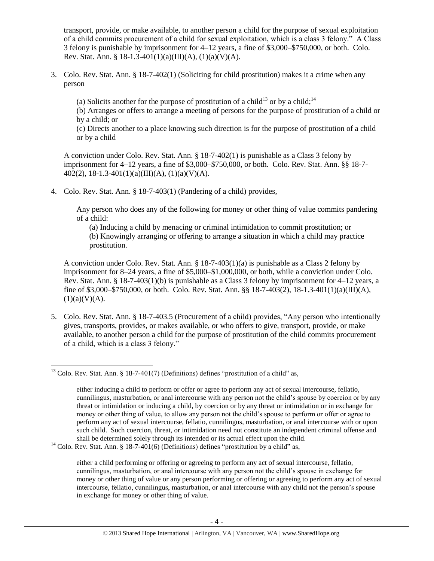transport, provide, or make available, to another person a child for the purpose of sexual exploitation of a child commits procurement of a child for sexual exploitation, which is a class 3 felony." A Class 3 felony is punishable by imprisonment for 4–12 years, a fine of \$3,000–\$750,000, or both. Colo. Rev. Stat. Ann. § 18-1.3-401(1)(a)(III)(A), (1)(a)(V)(A).

- 3. Colo. Rev. Stat. Ann. § 18-7-402(1) (Soliciting for child prostitution) makes it a crime when any person
	- (a) Solicits another for the purpose of prostitution of a child<sup>13</sup> or by a child:<sup>14</sup>

<span id="page-3-1"></span><span id="page-3-0"></span>(b) Arranges or offers to arrange a meeting of persons for the purpose of prostitution of a child or by a child; or

(c) Directs another to a place knowing such direction is for the purpose of prostitution of a child or by a child

A conviction under Colo. Rev. Stat. Ann. § 18-7-402(1) is punishable as a Class 3 felony by imprisonment for 4–12 years, a fine of \$3,000–\$750,000, or both. Colo. Rev. Stat. Ann. §§ 18-7- 402(2), 18-1.3-401(1)(a)(III)(A), (1)(a)(V)(A).

4. Colo. Rev. Stat. Ann. § 18-7-403(1) (Pandering of a child) provides,

Any person who does any of the following for money or other thing of value commits pandering of a child:

(a) Inducing a child by menacing or criminal intimidation to commit prostitution; or (b) Knowingly arranging or offering to arrange a situation in which a child may practice prostitution.

A conviction under Colo. Rev. Stat. Ann. § 18-7-403(1)(a) is punishable as a Class 2 felony by imprisonment for 8–24 years, a fine of \$5,000–\$1,000,000, or both, while a conviction under Colo. Rev. Stat. Ann. § 18-7-403(1)(b) is punishable as a Class 3 felony by imprisonment for 4–12 years, a fine of \$3,000–\$750,000, or both. Colo. Rev. Stat. Ann. §§ 18-7-403(2), 18-1.3-401(1)(a)(III)(A),  $(1)(a)(V)(A).$ 

5. Colo. Rev. Stat. Ann. § 18-7-403.5 (Procurement of a child) provides, "Any person who intentionally gives, transports, provides, or makes available, or who offers to give, transport, provide, or make available, to another person a child for the purpose of prostitution of the child commits procurement of a child, which is a class 3 felony."

 $\overline{\phantom{a}}$ <sup>13</sup> Colo. Rev. Stat. Ann. § 18-7-401(7) (Definitions) defines "prostitution of a child" as,

either inducing a child to perform or offer or agree to perform any act of sexual intercourse, fellatio, cunnilingus, masturbation, or anal intercourse with any person not the child's spouse by coercion or by any threat or intimidation or inducing a child, by coercion or by any threat or intimidation or in exchange for money or other thing of value, to allow any person not the child's spouse to perform or offer or agree to perform any act of sexual intercourse, fellatio, cunnilingus, masturbation, or anal intercourse with or upon such child. Such coercion, threat, or intimidation need not constitute an independent criminal offense and shall be determined solely through its intended or its actual effect upon the child.

 $14$  Colo. Rev. Stat. Ann. § 18-7-401(6) (Definitions) defines "prostitution by a child" as,

either a child performing or offering or agreeing to perform any act of sexual intercourse, fellatio, cunnilingus, masturbation, or anal intercourse with any person not the child's spouse in exchange for money or other thing of value or any person performing or offering or agreeing to perform any act of sexual intercourse, fellatio, cunnilingus, masturbation, or anal intercourse with any child not the person's spouse in exchange for money or other thing of value.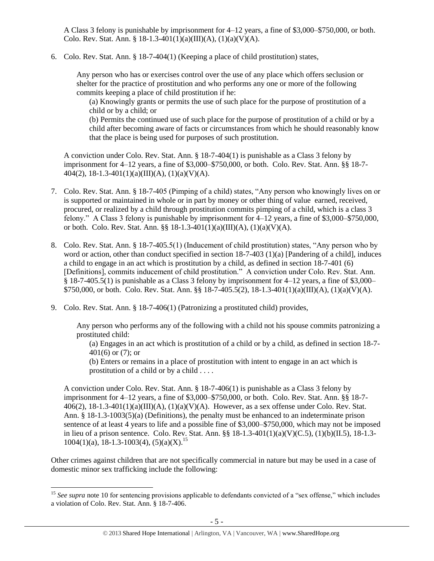A Class 3 felony is punishable by imprisonment for 4–12 years, a fine of \$3,000–\$750,000, or both. Colo. Rev. Stat. Ann. § 18-1.3-401(1)(a)(III)(A), (1)(a)(V)(A).

6. Colo. Rev. Stat. Ann. § 18-7-404(1) (Keeping a place of child prostitution) states,

Any person who has or exercises control over the use of any place which offers seclusion or shelter for the practice of prostitution and who performs any one or more of the following commits keeping a place of child prostitution if he:

(a) Knowingly grants or permits the use of such place for the purpose of prostitution of a child or by a child; or

(b) Permits the continued use of such place for the purpose of prostitution of a child or by a child after becoming aware of facts or circumstances from which he should reasonably know that the place is being used for purposes of such prostitution.

A conviction under Colo. Rev. Stat. Ann. § 18-7-404(1) is punishable as a Class 3 felony by imprisonment for 4–12 years, a fine of \$3,000–\$750,000, or both. Colo. Rev. Stat. Ann. §§ 18-7- 404(2), 18-1.3-401(1)(a)(III)(A), (1)(a)(V)(A).

- 7. Colo. Rev. Stat. Ann. § 18-7-405 (Pimping of a child) states, "Any person who knowingly lives on or is supported or maintained in whole or in part by money or other thing of value earned, received, procured, or realized by a child through prostitution commits pimping of a child, which is a class 3 felony." A Class 3 felony is punishable by imprisonment for 4–12 years, a fine of \$3,000–\$750,000, or both. Colo. Rev. Stat. Ann. §§ 18-1.3-401(1)(a)(III)(A), (1)(a)(V)(A).
- 8. Colo. Rev. Stat. Ann. § 18-7-405.5(1) (Inducement of child prostitution) states, "Any person who by word or action, other than conduct specified in section 18-7-403 (1)(a) [Pandering of a child], induces a child to engage in an act which is prostitution by a child, as defined in section 18-7-401 (6) [Definitions], commits inducement of child prostitution." A conviction under Colo. Rev. Stat. Ann. § 18-7-405.5(1) is punishable as a Class 3 felony by imprisonment for 4–12 years, a fine of \$3,000– \$750,000, or both. Colo. Rev. Stat. Ann. §§ 18-7-405.5(2), 18-1.3-401(1)(a)(III)(A), (1)(a)(V)(A).
- 9. Colo. Rev. Stat. Ann. § 18-7-406(1) (Patronizing a prostituted child) provides,

 $\overline{a}$ 

Any person who performs any of the following with a child not his spouse commits patronizing a prostituted child:

(a) Engages in an act which is prostitution of a child or by a child, as defined in section 18-7- 401(6) or (7); or

(b) Enters or remains in a place of prostitution with intent to engage in an act which is prostitution of a child or by a child . . . .

A conviction under Colo. Rev. Stat. Ann. § 18-7-406(1) is punishable as a Class 3 felony by imprisonment for 4–12 years, a fine of \$3,000–\$750,000, or both. Colo. Rev. Stat. Ann. §§ 18-7- 406(2),  $18-1.3-401(1)(a)(III)(A)$ ,  $(1)(a)(V)(A)$ . However, as a sex offense under Colo. Rev. Stat. Ann. § 18-1.3-1003(5)(a) (Definitions), the penalty must be enhanced to an indeterminate prison sentence of at least 4 years to life and a possible fine of \$3,000–\$750,000, which may not be imposed in lieu of a prison sentence. Colo. Rev. Stat. Ann. §§ 18-1.3-401(1)(a)(V)(C.5), (1)(b)(II.5), 18-1.3-  $1004(1)(a)$ , 18-1.3-1003(4), (5)(a)(X).<sup>15</sup>

Other crimes against children that are not specifically commercial in nature but may be used in a case of domestic minor sex trafficking include the following:

<sup>&</sup>lt;sup>15</sup> See supra note [10](#page-2-0) for sentencing provisions applicable to defendants convicted of a "sex offense," which includes a violation of Colo. Rev. Stat. Ann. § 18-7-406.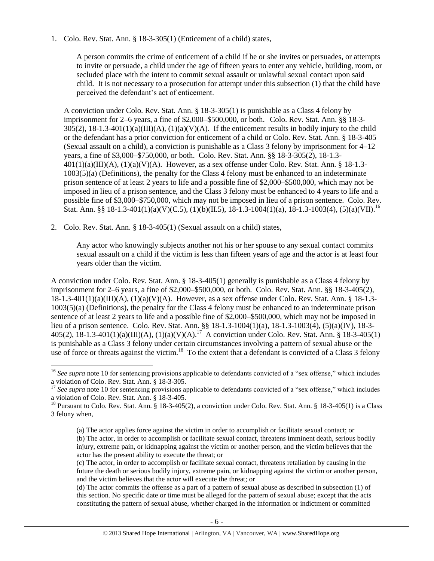1. Colo. Rev. Stat. Ann. § 18-3-305(1) (Enticement of a child) states,

A person commits the crime of enticement of a child if he or she invites or persuades, or attempts to invite or persuade, a child under the age of fifteen years to enter any vehicle, building, room, or secluded place with the intent to commit sexual assault or unlawful sexual contact upon said child. It is not necessary to a prosecution for attempt under this subsection (1) that the child have perceived the defendant's act of enticement.

A conviction under Colo. Rev. Stat. Ann. § 18-3-305(1) is punishable as a Class 4 felony by imprisonment for 2–6 years, a fine of \$2,000–\$500,000, or both. Colo. Rev. Stat. Ann. §§ 18-3-  $305(2)$ ,  $18-1.3-401(1)(a)(III)(A)$ ,  $(1)(a)(V)(A)$ . If the enticement results in bodily injury to the child or the defendant has a prior conviction for enticement of a child or Colo. Rev. Stat. Ann. § 18-3-405 (Sexual assault on a child), a conviction is punishable as a Class 3 felony by imprisonment for 4–12 years, a fine of \$3,000–\$750,000, or both. Colo. Rev. Stat. Ann. §§ 18-3-305(2), 18-1.3-  $401(1)(a)(III)(A), (1)(a)(V)(A)$ . However, as a sex offense under Colo. Rev. Stat. Ann. § 18-1.3-1003(5)(a) (Definitions), the penalty for the Class 4 felony must be enhanced to an indeterminate prison sentence of at least 2 years to life and a possible fine of \$2,000–\$500,000, which may not be imposed in lieu of a prison sentence, and the Class 3 felony must be enhanced to 4 years to life and a possible fine of \$3,000–\$750,000, which may not be imposed in lieu of a prison sentence. Colo. Rev. Stat. Ann. §§ 18-1.3-401(1)(a)(V)(C.5), (1)(b)(II.5), 18-1.3-1004(1)(a), 18-1.3-1003(4), (5)(a)(VII).<sup>16</sup>

2. Colo. Rev. Stat. Ann. § 18-3-405(1) (Sexual assault on a child) states,

 $\overline{\phantom{a}}$ 

Any actor who knowingly subjects another not his or her spouse to any sexual contact commits sexual assault on a child if the victim is less than fifteen years of age and the actor is at least four years older than the victim.

A conviction under Colo. Rev. Stat. Ann. § 18-3-405(1) generally is punishable as a Class 4 felony by imprisonment for 2–6 years, a fine of \$2,000–\$500,000, or both. Colo. Rev. Stat. Ann. §§ 18-3-405(2), 18-1.3-401(1)(a)(III)(A), (1)(a)(V)(A). However, as a sex offense under Colo. Rev. Stat. Ann. § 18-1.3- 1003(5)(a) (Definitions), the penalty for the Class 4 felony must be enhanced to an indeterminate prison sentence of at least 2 years to life and a possible fine of \$2,000–\$500,000, which may not be imposed in lieu of a prison sentence. Colo. Rev. Stat. Ann. §§ 18-1.3-1004(1)(a), 18-1.3-1003(4), (5)(a)(IV), 18-3- 405(2),  $18-1.3-401(1)(a)(III)(A)$ ,  $(1)(a)(V)(A)$ .<sup>17</sup> A conviction under Colo. Rev. Stat. Ann. § 18-3-405(1) is punishable as a Class 3 felony under certain circumstances involving a pattern of sexual abuse or the use of force or threats against the victim.<sup>18</sup> To the extent that a defendant is convicted of a Class 3 felony

<sup>&</sup>lt;sup>16</sup> See supra note [10](#page-2-0) for sentencing provisions applicable to defendants convicted of a "sex offense," which includes a violation of Colo. Rev. Stat. Ann. § 18-3-305.

<sup>&</sup>lt;sup>17</sup> See supra note [10](#page-2-0) for sentencing provisions applicable to defendants convicted of a "sex offense," which includes a violation of Colo. Rev. Stat. Ann. § 18-3-405.

<sup>&</sup>lt;sup>18</sup> Pursuant to Colo. Rev. Stat. Ann. § 18-3-405(2), a conviction under Colo. Rev. Stat. Ann. § 18-3-405(1) is a Class 3 felony when,

<sup>(</sup>a) The actor applies force against the victim in order to accomplish or facilitate sexual contact; or (b) The actor, in order to accomplish or facilitate sexual contact, threatens imminent death, serious bodily injury, extreme pain, or kidnapping against the victim or another person, and the victim believes that the actor has the present ability to execute the threat; or

<sup>(</sup>c) The actor, in order to accomplish or facilitate sexual contact, threatens retaliation by causing in the future the death or serious bodily injury, extreme pain, or kidnapping against the victim or another person, and the victim believes that the actor will execute the threat; or

<sup>(</sup>d) The actor commits the offense as a part of a pattern of sexual abuse as described in subsection (1) of this section. No specific date or time must be alleged for the pattern of sexual abuse; except that the acts constituting the pattern of sexual abuse, whether charged in the information or indictment or committed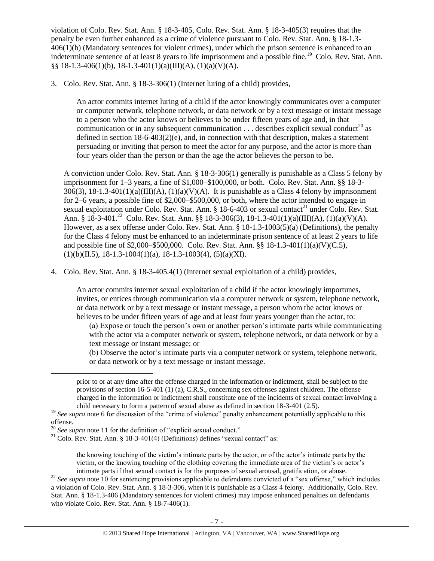violation of Colo. Rev. Stat. Ann. § 18-3-405, Colo. Rev. Stat. Ann. § 18-3-405(3) requires that the penalty be even further enhanced as a crime of violence pursuant to Colo. Rev. Stat. Ann. § 18-1.3-  $406(1)(b)$  (Mandatory sentences for violent crimes), under which the prison sentence is enhanced to an indeterminate sentence of at least 8 years to life imprisonment and a possible fine.<sup>19</sup> Colo. Rev. Stat. Ann. §§ 18-1.3-406(1)(b), 18-1.3-401(1)(a)(III)(A), (1)(a)(V)(A).

3. Colo. Rev. Stat. Ann. § 18-3-306(1) (Internet luring of a child) provides,

An actor commits internet luring of a child if the actor knowingly communicates over a computer or computer network, telephone network, or data network or by a text message or instant message to a person who the actor knows or believes to be under fifteen years of age and, in that communication or in any subsequent communication  $\dots$  describes explicit sexual conduct<sup>20</sup> as defined in section  $18-6-403(2)(e)$ , and, in connection with that description, makes a statement persuading or inviting that person to meet the actor for any purpose, and the actor is more than four years older than the person or than the age the actor believes the person to be.

A conviction under Colo. Rev. Stat. Ann. § 18-3-306(1) generally is punishable as a Class 5 felony by imprisonment for 1–3 years, a fine of \$1,000–\$100,000, or both. Colo. Rev. Stat. Ann. §§ 18-3-  $306(3)$ ,  $18-1.3-401(1)(a)(III)(A)$ ,  $(1)(a)(V)(A)$ . It is punishable as a Class 4 felony by imprisonment for 2–6 years, a possible fine of \$2,000–\$500,000, or both, where the actor intended to engage in sexual exploitation under Colo. Rev. Stat. Ann. § 18-6-403 or sexual contact<sup>21</sup> under Colo. Rev. Stat. Ann. § 18-3-401.<sup>22</sup> Colo. Rev. Stat. Ann. §§ 18-3-306(3), 18-1.3-401(1)(a)(III)(A), (1)(a)(V)(A). However, as a sex offense under Colo. Rev. Stat. Ann. § 18-1.3-1003(5)(a) (Definitions), the penalty for the Class 4 felony must be enhanced to an indeterminate prison sentence of at least 2 years to life and possible fine of \$2,000–\$500,000. Colo. Rev. Stat. Ann. §§ 18-1.3-401(1)(a)(V)(C.5),  $(1)(b)(II.5), 18-1.3-1004(1)(a), 18-1.3-1003(4), (5)(a)(XI).$ 

4. Colo. Rev. Stat. Ann. § 18-3-405.4(1) (Internet sexual exploitation of a child) provides,

An actor commits internet sexual exploitation of a child if the actor knowingly importunes, invites, or entices through communication via a computer network or system, telephone network, or data network or by a text message or instant message, a person whom the actor knows or believes to be under fifteen years of age and at least four years younger than the actor, to:

(a) Expose or touch the person's own or another person's intimate parts while communicating with the actor via a computer network or system, telephone network, or data network or by a text message or instant message; or

(b) Observe the actor's intimate parts via a computer network or system, telephone network, or data network or by a text message or instant message.

prior to or at any time after the offense charged in the information or indictment, shall be subject to the provisions of section 16-5-401 (1) (a), C.R.S., concerning sex offenses against children. The offense charged in the information or indictment shall constitute one of the incidents of sexual contact involving a child necessary to form a pattern of sexual abuse as defined in section 18-3-401 (2.5).

<sup>19</sup> See supra note [6](#page-1-1) for discussion of the "crime of violence" penalty enhancement potentially applicable to this offense.

 $\overline{\phantom{a}}$ 

the knowing touching of the victim's intimate parts by the actor, or of the actor's intimate parts by the victim, or the knowing touching of the clothing covering the immediate area of the victim's or actor's intimate parts if that sexual contact is for the purposes of sexual arousal, gratification, or abuse.

<sup>22</sup> See supra note [10](#page-2-0) for sentencing provisions applicable to defendants convicted of a "sex offense," which includes a violation of Colo. Rev. Stat. Ann. § 18-3-306, when it is punishable as a Class 4 felony. Additionally, Colo. Rev. Stat. Ann. § 18-1.3-406 (Mandatory sentences for violent crimes) may impose enhanced penalties on defendants who violate Colo. Rev. Stat. Ann. § 18-7-406(1).

<sup>&</sup>lt;sup>20</sup> *See supra* note [11](#page-2-1) for the definition of "explicit sexual conduct."

<sup>&</sup>lt;sup>21</sup> Colo. Rev. Stat. Ann. § 18-3-401(4) (Definitions) defines "sexual contact" as: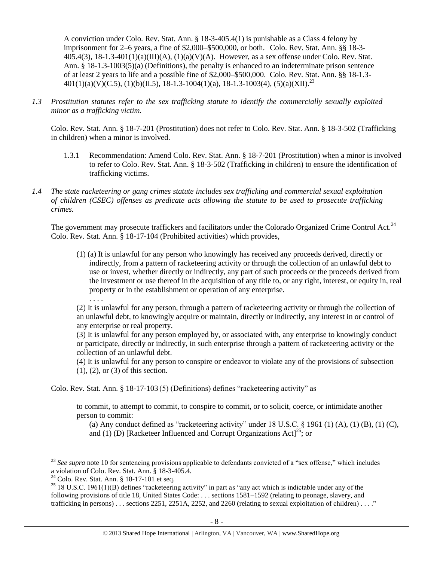A conviction under Colo. Rev. Stat. Ann. § 18-3-405.4(1) is punishable as a Class 4 felony by imprisonment for 2–6 years, a fine of \$2,000–\$500,000, or both. Colo. Rev. Stat. Ann. §§ 18-3-  $405.4(3)$ ,  $18-1.3-401(1)(a)(III)(A)$ ,  $(1)(a)(V)(A)$ . However, as a sex offense under Colo. Rev. Stat. Ann. § 18-1.3-1003(5)(a) (Definitions), the penalty is enhanced to an indeterminate prison sentence of at least 2 years to life and a possible fine of \$2,000–\$500,000. Colo. Rev. Stat. Ann. §§ 18-1.3-  $401(1)(a)(V)(C.5), (1)(b)(II.5), 18-1.3-1004(1)(a), 18-1.3-1003(4), (5)(a)(XII).^{23}$ 

*1.3 Prostitution statutes refer to the sex trafficking statute to identify the commercially sexually exploited minor as a trafficking victim.* 

Colo. Rev. Stat. Ann. § 18-7-201 (Prostitution) does not refer to Colo. Rev. Stat. Ann. § 18-3-502 (Trafficking in children) when a minor is involved.

- 1.3.1 Recommendation: Amend Colo. Rev. Stat. Ann. § 18-7-201 (Prostitution) when a minor is involved to refer to Colo. Rev. Stat. Ann. § 18-3-502 (Trafficking in children) to ensure the identification of trafficking victims.
- *1.4 The state racketeering or gang crimes statute includes sex trafficking and commercial sexual exploitation of children (CSEC) offenses as predicate acts allowing the statute to be used to prosecute trafficking crimes.*

The government may prosecute traffickers and facilitators under the Colorado Organized Crime Control Act.<sup>24</sup> Colo. Rev. Stat. Ann. § 18-17-104 (Prohibited activities) which provides,

(1) (a) It is unlawful for any person who knowingly has received any proceeds derived, directly or indirectly, from a pattern of racketeering activity or through the collection of an unlawful debt to use or invest, whether directly or indirectly, any part of such proceeds or the proceeds derived from the investment or use thereof in the acquisition of any title to, or any right, interest, or equity in, real property or in the establishment or operation of any enterprise. . . . .

(2) It is unlawful for any person, through a pattern of racketeering activity or through the collection of an unlawful debt, to knowingly acquire or maintain, directly or indirectly, any interest in or control of any enterprise or real property.

(3) It is unlawful for any person employed by, or associated with, any enterprise to knowingly conduct or participate, directly or indirectly, in such enterprise through a pattern of racketeering activity or the collection of an unlawful debt.

(4) It is unlawful for any person to conspire or endeavor to violate any of the provisions of subsection (1), (2), or (3) of this section.

Colo. Rev. Stat. Ann. § 18-17-103 (5) (Definitions) defines "racketeering activity" as

to commit, to attempt to commit, to conspire to commit, or to solicit, coerce, or intimidate another person to commit:

(a) Any conduct defined as "racketeering activity" under  $18 \text{ U.S.C. }$  §  $1961 \text{ (1) (A), (1) (B), (1) (C),}$ and (1) (D) [Racketeer Influenced and Corrupt Organizations Act]<sup>25</sup>; or

l

<sup>&</sup>lt;sup>23</sup> See supra note [10](#page-2-0) for sentencing provisions applicable to defendants convicted of a "sex offense," which includes a violation of Colo. Rev. Stat. Ann. § 18-3-405.4.

 $24$  Colo. Rev. Stat. Ann. § 18-17-101 et seq.

 $25$  18 U.S.C. 1961(1)(B) defines "racketeering activity" in part as "any act which is indictable under any of the following provisions of title 18, United States Code: . . . sections 1581–1592 (relating to peonage, slavery, and trafficking in persons) . . . sections 2251, 2251A, 2252, and 2260 (relating to sexual exploitation of children) . . . ."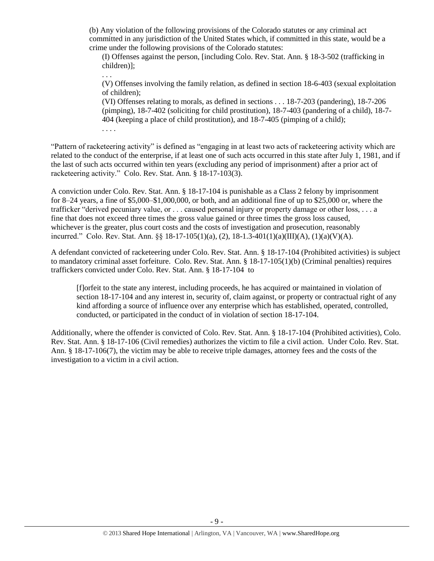(b) Any violation of the following provisions of the Colorado statutes or any criminal act committed in any jurisdiction of the United States which, if committed in this state, would be a crime under the following provisions of the Colorado statutes:

(I) Offenses against the person, [including Colo. Rev. Stat. Ann. § 18-3-502 (trafficking in children)];

(V) Offenses involving the family relation, as defined in section 18-6-403 (sexual exploitation of children);

(VI) Offenses relating to morals, as defined in sections . . . 18-7-203 (pandering), 18-7-206 (pimping), 18-7-402 (soliciting for child prostitution), 18-7-403 (pandering of a child), 18-7- 404 (keeping a place of child prostitution), and 18-7-405 (pimping of a child); . . . .

"Pattern of racketeering activity" is defined as "engaging in at least two acts of racketeering activity which are related to the conduct of the enterprise, if at least one of such acts occurred in this state after July 1, 1981, and if the last of such acts occurred within ten years (excluding any period of imprisonment) after a prior act of racketeering activity." Colo. Rev. Stat. Ann. § 18-17-103(3).

. . .

A conviction under Colo. Rev. Stat. Ann. § 18-17-104 is punishable as a Class 2 felony by imprisonment for 8–24 years, a fine of \$5,000–\$1,000,000, or both, and an additional fine of up to \$25,000 or, where the trafficker "derived pecuniary value, or . . . caused personal injury or property damage or other loss, . . . a fine that does not exceed three times the gross value gained or three times the gross loss caused, whichever is the greater, plus court costs and the costs of investigation and prosecution, reasonably incurred." Colo. Rev. Stat. Ann. §§ 18-17-105(1)(a), (2), 18-1.3-401(1)(a)(III)(A), (1)(a)(V)(A).

A defendant convicted of racketeering under Colo. Rev. Stat. Ann. § 18-17-104 (Prohibited activities) is subject to mandatory criminal asset forfeiture. Colo. Rev. Stat. Ann. § 18-17-105(1)(b) (Criminal penalties) requires traffickers convicted under Colo. Rev. Stat. Ann. § 18-17-104 to

[f]orfeit to the state any interest, including proceeds, he has acquired or maintained in violation of section 18-17-104 and any interest in, security of, claim against, or property or contractual right of any kind affording a source of influence over any enterprise which has established, operated, controlled, conducted, or participated in the conduct of in violation of section 18-17-104.

Additionally, where the offender is convicted of Colo. Rev. Stat. Ann. § 18-17-104 (Prohibited activities), Colo. Rev. Stat. Ann. § 18-17-106 (Civil remedies) authorizes the victim to file a civil action. Under Colo. Rev. Stat. Ann. § 18-17-106(7), the victim may be able to receive triple damages, attorney fees and the costs of the investigation to a victim in a civil action.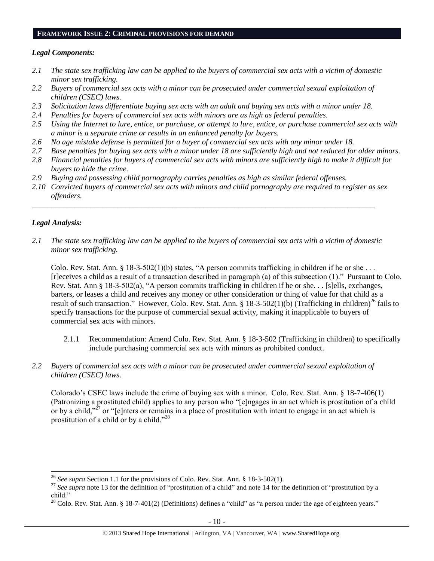#### **FRAMEWORK ISSUE 2: CRIMINAL PROVISIONS FOR DEMAND**

## *Legal Components:*

- *2.1 The state sex trafficking law can be applied to the buyers of commercial sex acts with a victim of domestic minor sex trafficking.*
- *2.2 Buyers of commercial sex acts with a minor can be prosecuted under commercial sexual exploitation of children (CSEC) laws.*
- *2.3 Solicitation laws differentiate buying sex acts with an adult and buying sex acts with a minor under 18.*
- *2.4 Penalties for buyers of commercial sex acts with minors are as high as federal penalties.*
- *2.5 Using the Internet to lure, entice, or purchase, or attempt to lure, entice, or purchase commercial sex acts with a minor is a separate crime or results in an enhanced penalty for buyers.*
- *2.6 No age mistake defense is permitted for a buyer of commercial sex acts with any minor under 18.*
- *2.7 Base penalties for buying sex acts with a minor under 18 are sufficiently high and not reduced for older minors.*
- *2.8 Financial penalties for buyers of commercial sex acts with minors are sufficiently high to make it difficult for buyers to hide the crime.*
- *2.9 Buying and possessing child pornography carries penalties as high as similar federal offenses.*
- *2.10 Convicted buyers of commercial sex acts with minors and child pornography are required to register as sex offenders.*

\_\_\_\_\_\_\_\_\_\_\_\_\_\_\_\_\_\_\_\_\_\_\_\_\_\_\_\_\_\_\_\_\_\_\_\_\_\_\_\_\_\_\_\_\_\_\_\_\_\_\_\_\_\_\_\_\_\_\_\_\_\_\_\_\_\_\_\_\_\_\_\_\_\_\_\_\_\_\_\_\_\_\_\_\_\_\_\_

# *Legal Analysis:*

*2.1 The state sex trafficking law can be applied to the buyers of commercial sex acts with a victim of domestic minor sex trafficking.*

Colo. Rev. Stat. Ann. § 18-3-502(1)(b) states, "A person commits trafficking in children if he or she . . . [r]eceives a child as a result of a transaction described in paragraph (a) of this subsection (1)." Pursuant to Colo. Rev. Stat. Ann § 18-3-502(a), "A person commits trafficking in children if he or she. . . [s]ells, exchanges, barters, or leases a child and receives any money or other consideration or thing of value for that child as a result of such transaction." However, Colo. Rev. Stat. Ann. § 18-3-502(1)(b) (Trafficking in children)<sup>26</sup> fails to specify transactions for the purpose of commercial sexual activity, making it inapplicable to buyers of commercial sex acts with minors.

- 2.1.1 Recommendation: Amend Colo. Rev. Stat. Ann. § 18-3-502 (Trafficking in children) to specifically include purchasing commercial sex acts with minors as prohibited conduct.
- *2.2 Buyers of commercial sex acts with a minor can be prosecuted under commercial sexual exploitation of children (CSEC) laws.*

Colorado's CSEC laws include the crime of buying sex with a minor. Colo. Rev. Stat. Ann. § 18-7-406(1) (Patronizing a prostituted child) applies to any person who "[e]ngages in an act which is prostitution of a child or by a child,"<sup>27</sup> or "[e]nters or remains in a place of prostitution with intent to engage in an act which is prostitution of a child or by a child."<sup>28</sup>

 $\overline{\phantom{a}}$ <sup>26</sup> *See supra* Section 1.1 for the provisions of Colo. Rev. Stat. Ann. § 18-3-502(1).

<sup>&</sup>lt;sup>27</sup> See supra note [13](#page-3-0) for the definition of "prostitution of a child" and note [14](#page-3-1) for the definition of "prostitution by a child."

<sup>&</sup>lt;sup>28</sup> Colo. Rev. Stat. Ann. § 18-7-401(2) (Definitions) defines a "child" as "a person under the age of eighteen years."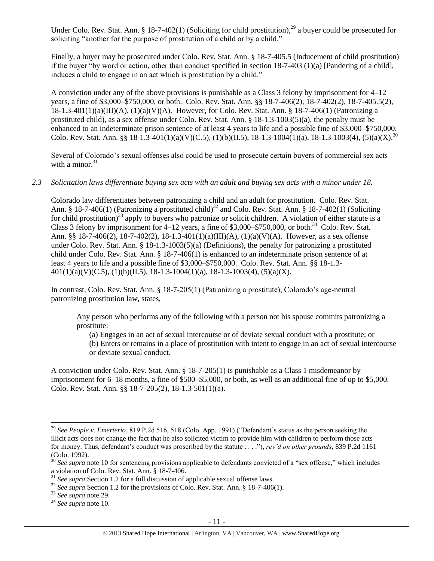<span id="page-10-0"></span>Under Colo. Rev. Stat. Ann. § 18-7-402(1) (Soliciting for child prostitution),  $^{29}$  a buyer could be prosecuted for soliciting "another for the purpose of prostitution of a child or by a child."

Finally, a buyer may be prosecuted under Colo. Rev. Stat. Ann. § 18-7-405.5 (Inducement of child prostitution) if the buyer "by word or action, other than conduct specified in section 18-7-403 (1)(a) [Pandering of a child], induces a child to engage in an act which is prostitution by a child."

A conviction under any of the above provisions is punishable as a Class 3 felony by imprisonment for 4–12 years, a fine of \$3,000–\$750,000, or both. Colo. Rev. Stat. Ann. §§ 18-7-406(2), 18-7-402(2), 18-7-405.5(2),  $18-1.3-401(1)(a)(III)(A)$ ,  $(1)(a)(V)(A)$ . However, for Colo. Rev. Stat. Ann. § 18-7-406(1) (Patronizing a prostituted child), as a sex offense under Colo. Rev. Stat. Ann. § 18-1.3-1003(5)(a), the penalty must be enhanced to an indeterminate prison sentence of at least 4 years to life and a possible fine of \$3,000–\$750,000. Colo. Rev. Stat. Ann. §§ 18-1.3-401(1)(a)(V)(C.5), (1)(b)(II.5), 18-1.3-1004(1)(a), 18-1.3-1003(4), (5)(a)(X).<sup>30</sup>

Several of Colorado's sexual offenses also could be used to prosecute certain buyers of commercial sex acts with a minor. $31$ 

#### *2.3 Solicitation laws differentiate buying sex acts with an adult and buying sex acts with a minor under 18.*

Colorado law differentiates between patronizing a child and an adult for prostitution. Colo. Rev. Stat. Ann. § 18-7-406(1) (Patronizing a prostituted child)<sup>32</sup> and Colo. Rev. Stat. Ann. § 18-7-402(1) (Soliciting for child prostitution)<sup>33</sup> apply to buyers who patronize or solicit children. A violation of either statute is a Class 3 felony by imprisonment for  $4-12$  years, a fine of \$3,000-\$750,000, or both.<sup>34</sup> Colo. Rev. Stat. Ann. §§ 18-7-406(2), 18-7-402(2), 18-1.3-401(1)(a)(III)(A), (1)(a)(V)(A). However, as a sex offense under Colo. Rev. Stat. Ann. § 18-1.3-1003(5)(a) (Definitions), the penalty for patronizing a prostituted child under Colo. Rev. Stat. Ann. § 18-7-406(1) is enhanced to an indeterminate prison sentence of at least 4 years to life and a possible fine of \$3,000–\$750,000. Colo. Rev. Stat. Ann. §§ 18-1.3-  $401(1)(a)(V)(C.5), (1)(b)(II.5), 18-1.3-1004(1)(a), 18-1.3-1003(4), (5)(a)(X).$ 

In contrast, Colo. Rev. Stat. Ann. § 18-7-205(1) (Patronizing a prostitute), Colorado's age-neutral patronizing prostitution law, states,

Any person who performs any of the following with a person not his spouse commits patronizing a prostitute:

(a) Engages in an act of sexual intercourse or of deviate sexual conduct with a prostitute; or

(b) Enters or remains in a place of prostitution with intent to engage in an act of sexual intercourse or deviate sexual conduct.

A conviction under Colo. Rev. Stat. Ann. § 18-7-205(1) is punishable as a Class 1 misdemeanor by imprisonment for 6–18 months, a fine of \$500–\$5,000, or both, as well as an additional fine of up to \$5,000. Colo. Rev. Stat. Ann. §§ 18-7-205(2), 18-1.3-501(1)(a).

 $\overline{\phantom{a}}$ 

<sup>29</sup> *See People v. Emerterio*, 819 P.2d 516, 518 (Colo. App. 1991) ("Defendant's status as the person seeking the illicit acts does not change the fact that he also solicited victim to provide him with children to perform those acts for money. Thus, defendant's conduct was proscribed by the statute . . . ."), *rev'd on other grounds*, 839 P.2d 1161 (Colo. 1992).

<sup>&</sup>lt;sup>30</sup> See supra note [10](#page-2-0) for sentencing provisions applicable to defendants convicted of a "sex offense," which includes a violation of Colo. Rev. Stat. Ann. § 18-7-406.

<sup>&</sup>lt;sup>31</sup> *See supra* Section 1.2 for a full discussion of applicable sexual offense laws.

<sup>&</sup>lt;sup>32</sup> *See supra* Section 1.2 for the provisions of Colo. Rev. Stat. Ann. § 18-7-406(1).

<sup>33</sup> *See supra* note [29.](#page-10-0)

<sup>34</sup> *See supra* note [10.](#page-2-0)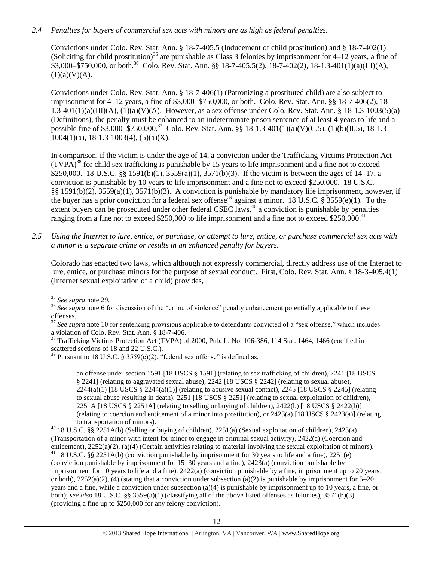# *2.4 Penalties for buyers of commercial sex acts with minors are as high as federal penalties.*

Convictions under Colo. Rev. Stat. Ann. § 18-7-405.5 (Inducement of child prostitution) and § 18-7-402(1) (Soliciting for child prostitution)<sup>35</sup> are punishable as Class 3 felonies by imprisonment for  $4-12$  years, a fine of  $$3,000-\$750,000$ , or both.<sup>36</sup> Colo. Rev. Stat. Ann. §§ 18-7-405.5(2), 18-7-402(2), 18-1.3-401(1)(a)(III)(A),  $(1)(a)(V)(A).$ 

Convictions under Colo. Rev. Stat. Ann. § 18-7-406(1) (Patronizing a prostituted child) are also subject to imprisonment for 4–12 years, a fine of \$3,000–\$750,000, or both. Colo. Rev. Stat. Ann. §§ 18-7-406(2), 18- 1.3-401(1)(a)(III)(A), (1)(a)(V)(A). However, as a sex offense under Colo. Rev. Stat. Ann. § 18-1.3-1003(5)(a) (Definitions), the penalty must be enhanced to an indeterminate prison sentence of at least 4 years to life and a possible fine of \$3,000–\$750,000.<sup>37</sup> Colo. Rev. Stat. Ann. §§ 18-1.3-401(1)(a)(V)(C.5), (1)(b)(II.5), 18-1.3- $1004(1)(a)$ , 18-1.3-1003(4), (5)(a)(X).

<span id="page-11-1"></span><span id="page-11-0"></span>In comparison, if the victim is under the age of 14, a conviction under the Trafficking Victims Protection Act  $(TVPA)^{38}$  for child sex trafficking is punishable by 15 years to life imprisonment and a fine not to exceed \$250,000. 18 U.S.C. §§ 1591(b)(1), 3559(a)(1), 3571(b)(3). If the victim is between the ages of 14–17, a conviction is punishable by 10 years to life imprisonment and a fine not to exceed \$250,000. 18 U.S.C. §§ 1591(b)(2), 3559(a)(1), 3571(b)(3). A conviction is punishable by mandatory life imprisonment, however, if the buyer has a prior conviction for a federal sex offense<sup>39</sup> against a minor. 18 U.S.C. § 3559(e)(1). To the extent buyers can be prosecuted under other federal CSEC laws,<sup>40</sup> a conviction is punishable by penalties ranging from a fine not to exceed \$250,000 to life imprisonment and a fine not to exceed \$250,000.<sup>41</sup>

*2.5 Using the Internet to lure, entice, or purchase, or attempt to lure, entice, or purchase commercial sex acts with a minor is a separate crime or results in an enhanced penalty for buyers.*

Colorado has enacted two laws, which although not expressly commercial, directly address use of the Internet to lure, entice, or purchase minors for the purpose of sexual conduct. First, Colo. Rev. Stat. Ann. § 18-3-405.4(1) (Internet sexual exploitation of a child) provides,

an offense under section 1591 [18 USCS § 1591] (relating to sex trafficking of children), 2241 [18 USCS § 2241] (relating to aggravated sexual abuse), 2242 [18 USCS § 2242] (relating to sexual abuse).  $2244(a)(1)$  [18 USCS §  $2244(a)(1)$ ] (relating to abusive sexual contact),  $2245$  [18 USCS § 2245] (relating to sexual abuse resulting in death), 2251 [18 USCS § 2251] (relating to sexual exploitation of children), 2251A [18 USCS  $\S$  2251A] (relating to selling or buying of children), 2422(b) [18 USCS  $\S$  2422(b)] (relating to coercion and enticement of a minor into prostitution), or 2423(a) [18 USCS § 2423(a)] (relating to transportation of minors).

<sup>40</sup> 18 U.S.C. §§ 2251A(b) (Selling or buying of children), 2251(a) (Sexual exploitation of children), 2423(a) (Transportation of a minor with intent for minor to engage in criminal sexual activity), 2422(a) (Coercion and enticement), 2252(a)(2), (a)(4) (Certain activities relating to material involving the sexual exploitation of minors).

<sup>41</sup> 18 U.S.C. §§ 2251A(b) (conviction punishable by imprisonment for 30 years to life and a fine), 2251(e) (conviction punishable by imprisonment for 15–30 years and a fine), 2423(a) (conviction punishable by imprisonment for 10 years to life and a fine), 2422(a) (conviction punishable by a fine, imprisonment up to 20 years, or both),  $2252(a)(2)$ , (4) (stating that a conviction under subsection (a)(2) is punishable by imprisonment for  $5-20$ years and a fine, while a conviction under subsection (a)(4) is punishable by imprisonment up to 10 years, a fine, or both); *see also* 18 U.S.C. §§ 3559(a)(1) (classifying all of the above listed offenses as felonies), 3571(b)(3) (providing a fine up to \$250,000 for any felony conviction).

 $\overline{a}$ <sup>35</sup> *See supra* note [29.](#page-10-0)

<sup>&</sup>lt;sup>36</sup> See supra note [6](#page-1-1) for discussion of the "crime of violence" penalty enhancement potentially applicable to these offenses.

<sup>&</sup>lt;sup>37</sup> See supra note [10](#page-2-0) for sentencing provisions applicable to defendants convicted of a "sex offense," which includes a violation of Colo. Rev. Stat. Ann. § 18-7-406.

<sup>&</sup>lt;sup>38</sup> Trafficking Victims Protection Act (TVPA) of 2000, Pub. L. No. 106-386, 114 Stat. 1464, 1466 (codified in scattered sections of 18 and 22 U.S.C.).

<sup>&</sup>lt;sup>39</sup> Pursuant to 18 U.S.C. § 3559(e)(2), "federal sex offense" is defined as,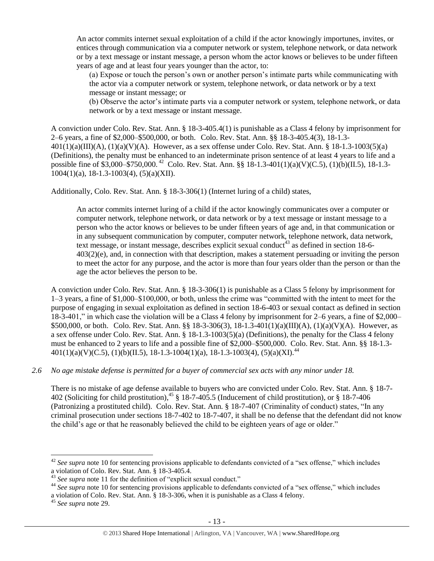An actor commits internet sexual exploitation of a child if the actor knowingly importunes, invites, or entices through communication via a computer network or system, telephone network, or data network or by a text message or instant message, a person whom the actor knows or believes to be under fifteen years of age and at least four years younger than the actor, to:

(a) Expose or touch the person's own or another person's intimate parts while communicating with the actor via a computer network or system, telephone network, or data network or by a text message or instant message; or

(b) Observe the actor's intimate parts via a computer network or system, telephone network, or data network or by a text message or instant message.

A conviction under Colo. Rev. Stat. Ann. § 18-3-405.4(1) is punishable as a Class 4 felony by imprisonment for 2–6 years, a fine of \$2,000–\$500,000, or both. Colo. Rev. Stat. Ann. §§ 18-3-405.4(3), 18-1.3-  $401(1)(a)(III)(A), (1)(a)(V)(A)$ . However, as a sex offense under Colo. Rev. Stat. Ann. § 18-1.3-1003(5)(a) (Definitions), the penalty must be enhanced to an indeterminate prison sentence of at least 4 years to life and a possible fine of \$3,000–\$750,000.<sup>42</sup> Colo. Rev. Stat. Ann. §§ 18-1.3-401(1)(a)(V)(C.5), (1)(b)(II.5), 18-1.3- $1004(1)(a)$ , 18-1.3-1003(4), (5)(a)(XII).

Additionally, Colo. Rev. Stat. Ann. § 18-3-306(1) (Internet luring of a child) states,

An actor commits internet luring of a child if the actor knowingly communicates over a computer or computer network, telephone network, or data network or by a text message or instant message to a person who the actor knows or believes to be under fifteen years of age and, in that communication or in any subsequent communication by computer, computer network, telephone network, data network, text message, or instant message, describes explicit sexual conduct<sup>43</sup> as defined in [section 18-6-](https://www.lexis.com/research/buttonTFLink?_m=0545d54bb3ab2fe03ee287d34806e7bd&_xfercite=%3ccite%20cc%3d%22USA%22%3e%3c%21%5bCDATA%5bC.R.S.%2018-3-306%5d%5d%3e%3c%2fcite%3e&_butType=4&_butStat=0&_butNum=2&_butInline=1&_butinfo=COCODE%2018-6-403&_fmtstr=FULL&docnum=1&_startdoc=1&wchp=dGLbVzB-zSkAb&_md5=937d1f974c5b2e4c88bf5b6e2c34877b) [403\(2\)\(e\),](https://www.lexis.com/research/buttonTFLink?_m=0545d54bb3ab2fe03ee287d34806e7bd&_xfercite=%3ccite%20cc%3d%22USA%22%3e%3c%21%5bCDATA%5bC.R.S.%2018-3-306%5d%5d%3e%3c%2fcite%3e&_butType=4&_butStat=0&_butNum=2&_butInline=1&_butinfo=COCODE%2018-6-403&_fmtstr=FULL&docnum=1&_startdoc=1&wchp=dGLbVzB-zSkAb&_md5=937d1f974c5b2e4c88bf5b6e2c34877b) and, in connection with that description, makes a statement persuading or inviting the person to meet the actor for any purpose, and the actor is more than four years older than the person or than the age the actor believes the person to be.

A conviction under Colo. Rev. Stat. Ann. § 18-3-306(1) is punishable as a Class 5 felony by imprisonment for 1–3 years, a fine of \$1,000–\$100,000, or both, unless the crime was "committed with the intent to meet for the purpose of engaging in sexual exploitation as defined in section 18-6-403 or sexual contact as defined in section 18-3-401," in which case the violation will be a Class 4 felony by imprisonment for 2–6 years, a fine of \$2,000– \$500,000, or both. Colo. Rev. Stat. Ann. §§ 18-3-306(3), 18-1.3-401(1)(a)(III)(A), (1)(a)(V)(A). However, as a sex offense under Colo. Rev. Stat. Ann. § 18-1.3-1003(5)(a) (Definitions), the penalty for the Class 4 felony must be enhanced to 2 years to life and a possible fine of \$2,000–\$500,000. Colo. Rev. Stat. Ann. §§ 18-1.3-  $401(1)(a)(V)(C.5), (1)(b)(II.5), 18-1.3-1004(1)(a), 18-1.3-1003(4), (5)(a)(XI).$ <sup>44</sup>

# *2.6 No age mistake defense is permitted for a buyer of commercial sex acts with any minor under 18.*

There is no mistake of age defense available to buyers who are convicted under Colo. Rev. Stat. Ann. § 18-7- 402 (Soliciting for child prostitution),  $45 \frac{\text{S}}{2}$  18-7-405.5 (Inducement of child prostitution), or  $\frac{\text{S}}{2}$  18-7-406 (Patronizing a prostituted child). Colo. Rev. Stat. Ann. § 18-7-407 (Criminality of conduct) states, "In any criminal prosecution under sections 18-7-402 to 18-7-407, it shall be no defense that the defendant did not know the child's age or that he reasonably believed the child to be eighteen years of age or older."

l

<sup>&</sup>lt;sup>42</sup> See supra note [10](#page-2-0) for sentencing provisions applicable to defendants convicted of a "sex offense," which includes a violation of Colo. Rev. Stat. Ann. § 18-3-405.4.

<sup>43</sup> *See supra* note [11](#page-2-1) for the definition of "explicit sexual conduct."

<sup>&</sup>lt;sup>44</sup> See supra note [10](#page-2-0) for sentencing provisions applicable to defendants convicted of a "sex offense," which includes

a violation of Colo. Rev. Stat. Ann. § 18-3-306, when it is punishable as a Class 4 felony.

<sup>45</sup> *See supra* note [29.](#page-10-0)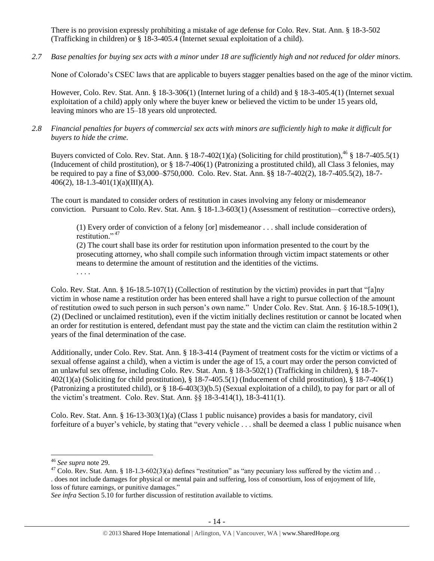There is no provision expressly prohibiting a mistake of age defense for Colo. Rev. Stat. Ann. § 18-3-502 (Trafficking in children) or § 18-3-405.4 (Internet sexual exploitation of a child).

*2.7 Base penalties for buying sex acts with a minor under 18 are sufficiently high and not reduced for older minors.*

None of Colorado's CSEC laws that are applicable to buyers stagger penalties based on the age of the minor victim.

However, Colo. Rev. Stat. Ann. § 18-3-306(1) (Internet luring of a child) and § 18-3-405.4(1) (Internet sexual exploitation of a child) apply only where the buyer knew or believed the victim to be under 15 years old, leaving minors who are 15–18 years old unprotected.

# *2.8 Financial penalties for buyers of commercial sex acts with minors are sufficiently high to make it difficult for buyers to hide the crime.*

Buyers convicted of Colo. Rev. Stat. Ann. § 18-7-402(1)(a) (Soliciting for child prostitution),  $^{46}$  § 18-7-405.5(1) (Inducement of child prostitution), or § 18-7-406(1) (Patronizing a prostituted child), all Class 3 felonies, may be required to pay a fine of \$3,000–\$750,000. Colo. Rev. Stat. Ann. §§ 18-7-402(2), 18-7-405.5(2), 18-7- 406(2), 18-1.3-401(1)(a)(III)(A).

The court is mandated to consider orders of restitution in cases involving any felony or misdemeanor conviction. Pursuant to Colo. Rev. Stat. Ann. § 18-1.3-603(1) (Assessment of restitution—corrective orders),

(1) Every order of conviction of a felony [or] misdemeanor . . . shall include consideration of restitution." <sup>47</sup>

<span id="page-13-0"></span>(2) The court shall base its order for restitution upon information presented to the court by the prosecuting attorney, who shall compile such information through victim impact statements or other means to determine the amount of restitution and the identities of the victims. . . . .

Colo. Rev. Stat. Ann. § 16-18.5-107(1) (Collection of restitution by the victim) provides in part that "[a]ny victim in whose name a restitution order has been entered shall have a right to pursue collection of the amount of restitution owed to such person in such person's own name." Under Colo. Rev. Stat. Ann. § 16-18.5-109(1), (2) (Declined or unclaimed restitution), even if the victim initially declines restitution or cannot be located when an order for restitution is entered, defendant must pay the state and the victim can claim the restitution within 2 years of the final determination of the case.

Additionally, under Colo. Rev. Stat. Ann. § 18-3-414 (Payment of treatment costs for the victim or victims of a sexual offense against a child), when a victim is under the age of 15, a court may order the person convicted of an unlawful sex offense, including Colo. Rev. Stat. Ann. § 18-3-502(1) (Trafficking in children), § 18-7- 402(1)(a) (Soliciting for child prostitution), § 18-7-405.5(1) (Inducement of child prostitution), § 18-7-406(1) (Patronizing a prostituted child), or  $\S$  18-6-403(3)(b.5) (Sexual exploitation of a child), to pay for part or all of the victim's treatment. Colo. Rev. Stat. Ann. §§ 18-3-414(1), 18-3-411(1).

Colo. Rev. Stat. Ann. § 16-13-303(1)(a) (Class 1 public nuisance) provides a basis for mandatory, civil forfeiture of a buyer's vehicle, by stating that "every vehicle . . . shall be deemed a class 1 public nuisance when

l

<sup>46</sup> *See supra* note [29.](#page-10-0)

 $47$  Colo. Rev. Stat. Ann. § 18-1.3-602(3)(a) defines "restitution" as "any pecuniary loss suffered by the victim and . . . does not include damages for physical or mental pain and suffering, loss of consortium, loss of enjoyment of life, loss of future earnings, or punitive damages."

*See infra* Section 5.10 for further discussion of restitution available to victims.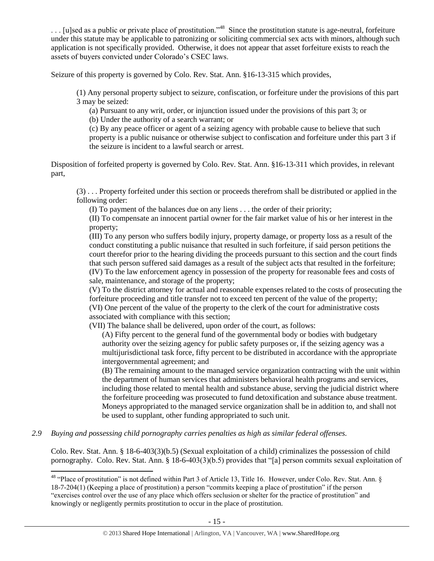$\dots$  [u]sed as a public or private place of prostitution.<sup>48</sup> Since the prostitution statute is age-neutral, forfeiture under this statute may be applicable to patronizing or soliciting commercial sex acts with minors, although such application is not specifically provided. Otherwise, it does not appear that asset forfeiture exists to reach the assets of buyers convicted under Colorado's CSEC laws.

Seizure of this property is governed by Colo. Rev. Stat. Ann. §16-13-315 which provides,

(1) Any personal property subject to seizure, confiscation, or forfeiture under the provisions of this part 3 may be seized:

(a) Pursuant to any writ, order, or injunction issued under the provisions of this part 3; or

(b) Under the authority of a search warrant; or

(c) By any peace officer or agent of a seizing agency with probable cause to believe that such property is a public nuisance or otherwise subject to confiscation and forfeiture under this part 3 if the seizure is incident to a lawful search or arrest.

Disposition of forfeited property is governed by Colo. Rev. Stat. Ann. §16-13-311 which provides, in relevant part,

(3) . . . Property forfeited under this section or proceeds therefrom shall be distributed or applied in the following order:

(I) To payment of the balances due on any liens . . . the order of their priority;

(II) To compensate an innocent partial owner for the fair market value of his or her interest in the property;

(III) To any person who suffers bodily injury, property damage, or property loss as a result of the conduct constituting a public nuisance that resulted in such forfeiture, if said person petitions the court therefor prior to the hearing dividing the proceeds pursuant to this section and the court finds that such person suffered said damages as a result of the subject acts that resulted in the forfeiture; (IV) To the law enforcement agency in possession of the property for reasonable fees and costs of sale, maintenance, and storage of the property;

(V) To the district attorney for actual and reasonable expenses related to the costs of prosecuting the forfeiture proceeding and title transfer not to exceed ten percent of the value of the property;

(VI) One percent of the value of the property to the clerk of the court for administrative costs associated with compliance with this section;

(VII) The balance shall be delivered, upon order of the court, as follows:

(A) Fifty percent to the general fund of the governmental body or bodies with budgetary authority over the seizing agency for public safety purposes or, if the seizing agency was a multijurisdictional task force, fifty percent to be distributed in accordance with the appropriate intergovernmental agreement; and

(B) The remaining amount to the managed service organization contracting with the unit within the department of human services that administers behavioral health programs and services, including those related to mental health and substance abuse, serving the judicial district where the forfeiture proceeding was prosecuted to fund detoxification and substance abuse treatment. Moneys appropriated to the managed service organization shall be in addition to, and shall not be used to supplant, other funding appropriated to such unit.

*2.9 Buying and possessing child pornography carries penalties as high as similar federal offenses.*

Colo. Rev. Stat. Ann. § 18-6-403(3)(b.5) (Sexual exploitation of a child) criminalizes the possession of child pornography. Colo. Rev. Stat. Ann. § 18-6-403(3)(b.5) provides that "[a] person commits sexual exploitation of

 $\overline{\phantom{a}}$  $48$  "Place of prostitution" is not defined within Part 3 of Article 13, Title 16. However, under Colo. Rev. Stat. Ann. § 18-7-204(1) (Keeping a place of prostitution) a person "commits keeping a place of prostitution" if the person "exercises control over the use of any place which offers seclusion or shelter for the practice of prostitution" and knowingly or negligently permits prostitution to occur in the place of prostitution.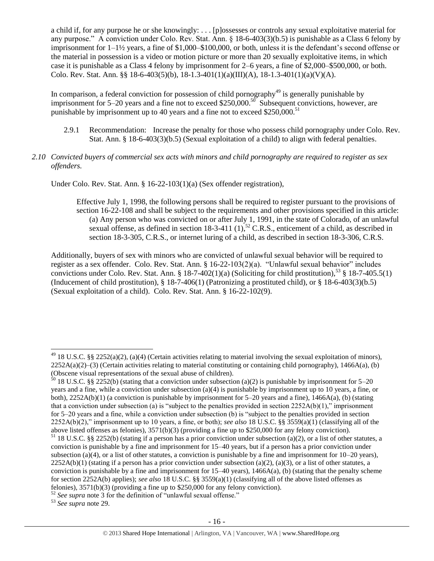a child if, for any purpose he or she knowingly: . . . [p]ossesses or controls any sexual exploitative material for any purpose." A conviction under Colo. Rev. Stat. Ann. § 18-6-403(3)(b.5) is punishable as a Class 6 felony by imprisonment for 1–1½ years, a fine of \$1,000–\$100,000, or both, unless it is the defendant's second offense or the material in possession is a video or motion picture or more than 20 sexually exploitative items, in which case it is punishable as a Class 4 felony by imprisonment for 2–6 years, a fine of \$2,000–\$500,000, or both. Colo. Rev. Stat. Ann. §§ 18-6-403(5)(b), 18-1.3-401(1)(a)(III)(A), 18-1.3-401(1)(a)(V)(A).

In comparison, a federal conviction for possession of child pornography<sup>49</sup> is generally punishable by imprisonment for 5–20 years and a fine not to exceed \$250,000.<sup>50</sup> Subsequent convictions, however, are punishable by imprisonment up to 40 years and a fine not to exceed  $$250,000$ .<sup>51</sup>

- 2.9.1 Recommendation: Increase the penalty for those who possess child pornography under Colo. Rev. Stat. Ann. § 18-6-403(3)(b.5) (Sexual exploitation of a child) to align with federal penalties.
- *2.10 Convicted buyers of commercial sex acts with minors and child pornography are required to register as sex offenders.*

Under Colo. Rev. Stat. Ann. § 16-22-103(1)(a) (Sex offender registration),

Effective July 1, 1998, the following persons shall be required to register pursuant to the provisions of section 16-22-108 and shall be subject to the requirements and other provisions specified in this article: (a) Any person who was convicted on or after July 1, 1991, in the state of Colorado, of an unlawful sexual offense, as defined in section 18-3-411  $(1)$ ,<sup>52</sup> C.R.S., enticement of a child, as described in section 18-3-305, C.R.S., or internet luring of a child, as described in section 18-3-306, C.R.S.

Additionally, buyers of sex with minors who are convicted of unlawful sexual behavior will be required to register as a sex offender. Colo. Rev. Stat. Ann. § 16-22-103(2)(a). "Unlawful sexual behavior" includes convictions under Colo. Rev. Stat. Ann. § 18-7-402(1)(a) (Soliciting for child prostitution),<sup>53</sup> § 18-7-405.5(1) (Inducement of child prostitution),  $\S 18-7-406(1)$  (Patronizing a prostituted child), or  $\S 18-6-403(3)(b.5)$ (Sexual exploitation of a child). Colo. Rev. Stat. Ann. § 16-22-102(9).

<sup>53</sup> *See supra* note [29.](#page-10-0)

 $\overline{\phantom{a}}$ 

<sup>&</sup>lt;sup>49</sup> 18 U.S.C. §§ 2252(a)(2), (a)(4) (Certain activities relating to material involving the sexual exploitation of minors),  $2252A(a)(2)$ –(3) (Certain activities relating to material constituting or containing child pornography), 1466A(a), (b) (Obscene visual representations of the sexual abuse of children).

 $\frac{50}{18}$  18 U.S.C. §§ 2252(b) (stating that a conviction under subsection (a)(2) is punishable by imprisonment for 5–20 years and a fine, while a conviction under subsection (a)(4) is punishable by imprisonment up to 10 years, a fine, or both),  $2252A(b)(1)$  (a conviction is punishable by imprisonment for 5–20 years and a fine),  $1466A(a)$ , (b) (stating that a conviction under subsection (a) is "subject to the penalties provided in section  $2252A(b)(1)$ ," imprisonment for 5–20 years and a fine, while a conviction under subsection (b) is "subject to the penalties provided in section 2252A(b)(2)," imprisonment up to 10 years, a fine, or both); *see also* 18 U.S.C. §§ 3559(a)(1) (classifying all of the above listed offenses as felonies), 3571(b)(3) (providing a fine up to \$250,000 for any felony conviction).

 $51$  18 U.S.C. §§ 2252(b) (stating if a person has a prior conviction under subsection (a)(2), or a list of other statutes, a conviction is punishable by a fine and imprisonment for 15–40 years, but if a person has a prior conviction under subsection (a)(4), or a list of other statutes, a conviction is punishable by a fine and imprisonment for  $10-20$  years),  $2252A(b)(1)$  (stating if a person has a prior conviction under subsection (a)(2), (a)(3), or a list of other statutes, a conviction is punishable by a fine and imprisonment for  $15-40$  years),  $1466A(a)$ , (b) (stating that the penalty scheme for section 2252A(b) applies); *see also* 18 U.S.C. §§ 3559(a)(1) (classifying all of the above listed offenses as felonies), 3571(b)(3) (providing a fine up to \$250,000 for any felony conviction).

<sup>52</sup> *See supra* note [3](#page-1-0) for the definition of "unlawful sexual offense."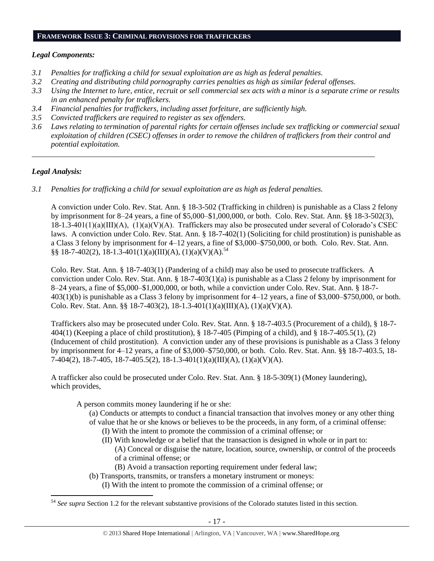#### **FRAMEWORK ISSUE 3: CRIMINAL PROVISIONS FOR TRAFFICKERS**

## *Legal Components:*

- *3.1 Penalties for trafficking a child for sexual exploitation are as high as federal penalties.*
- *3.2 Creating and distributing child pornography carries penalties as high as similar federal offenses.*
- *3.3 Using the Internet to lure, entice, recruit or sell commercial sex acts with a minor is a separate crime or results in an enhanced penalty for traffickers.*
- *3.4 Financial penalties for traffickers, including asset forfeiture, are sufficiently high.*
- *3.5 Convicted traffickers are required to register as sex offenders.*
- *3.6 Laws relating to termination of parental rights for certain offenses include sex trafficking or commercial sexual exploitation of children (CSEC) offenses in order to remove the children of traffickers from their control and potential exploitation.*

*\_\_\_\_\_\_\_\_\_\_\_\_\_\_\_\_\_\_\_\_\_\_\_\_\_\_\_\_\_\_\_\_\_\_\_\_\_\_\_\_\_\_\_\_\_\_\_\_\_\_\_\_\_\_\_\_\_\_\_\_\_\_\_\_\_\_\_\_\_\_\_\_\_\_\_\_\_\_\_\_\_\_\_\_\_\_\_\_*

# *Legal Analysis:*

 $\overline{\phantom{a}}$ 

*3.1 Penalties for trafficking a child for sexual exploitation are as high as federal penalties.* 

A conviction under Colo. Rev. Stat. Ann. § 18-3-502 (Trafficking in children) is punishable as a Class 2 felony by imprisonment for 8–24 years, a fine of \$5,000–\$1,000,000, or both. Colo. Rev. Stat. Ann. §§ 18-3-502(3), 18-1.3-401(1)(a)(III)(A), (1)(a)(V)(A). Traffickers may also be prosecuted under several of Colorado's CSEC laws. A conviction under Colo. Rev. Stat. Ann. § 18-7-402(1) (Soliciting for child prostitution) is punishable as a Class 3 felony by imprisonment for 4–12 years, a fine of \$3,000–\$750,000, or both. Colo. Rev. Stat. Ann. §§ 18-7-402(2), 18-1.3-401(1)(a)(III)(A), (1)(a)(V)(A).<sup>54</sup>

Colo. Rev. Stat. Ann. § 18-7-403(1) (Pandering of a child) may also be used to prosecute traffickers. A conviction under Colo. Rev. Stat. Ann. § 18-7-403(1)(a) is punishable as a Class 2 felony by imprisonment for 8–24 years, a fine of \$5,000–\$1,000,000, or both, while a conviction under Colo. Rev. Stat. Ann. § 18-7- 403(1)(b) is punishable as a Class 3 felony by imprisonment for 4–12 years, a fine of \$3,000–\$750,000, or both. Colo. Rev. Stat. Ann. §§ 18-7-403(2), 18-1.3-401(1)(a)(III)(A), (1)(a)(V)(A).

Traffickers also may be prosecuted under Colo. Rev. Stat. Ann. § 18-7-403.5 (Procurement of a child), § 18-7- 404(1) (Keeping a place of child prostitution), § 18-7-405 (Pimping of a child), and § 18-7-405.5(1), (2) (Inducement of child prostitution). A conviction under any of these provisions is punishable as a Class 3 felony by imprisonment for 4–12 years, a fine of \$3,000–\$750,000, or both. Colo. Rev. Stat. Ann. §§ 18-7-403.5, 18- 7-404(2), 18-7-405, 18-7-405.5(2), 18-1.3-401(1)(a)(III)(A), (1)(a)(V)(A).

A trafficker also could be prosecuted under Colo. Rev. Stat. Ann. § 18-5-309(1) (Money laundering), which provides,

- A person commits money laundering if he or she:
	- (a) Conducts or attempts to conduct a financial transaction that involves money or any other thing of value that he or she knows or believes to be the proceeds, in any form, of a criminal offense:
		- (I) With the intent to promote the commission of a criminal offense; or
		- (II) With knowledge or a belief that the transaction is designed in whole or in part to:
			- (A) Conceal or disguise the nature, location, source, ownership, or control of the proceeds of a criminal offense; or
			- (B) Avoid a transaction reporting requirement under federal law;
	- (b) Transports, transmits, or transfers a monetary instrument or moneys:
		- (I) With the intent to promote the commission of a criminal offense; or

<sup>&</sup>lt;sup>54</sup> See supra Section 1.2 for the relevant substantive provisions of the Colorado statutes listed in this section.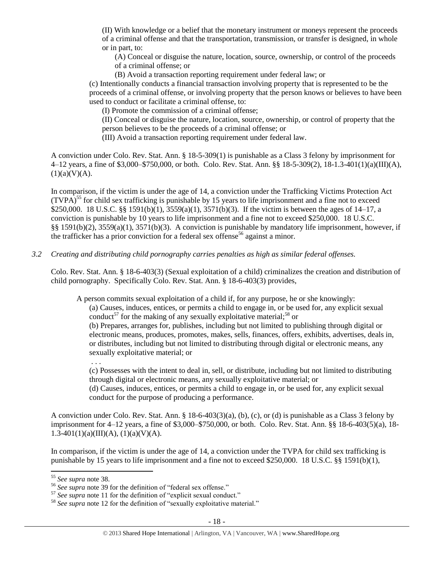(II) With knowledge or a belief that the monetary instrument or moneys represent the proceeds of a criminal offense and that the transportation, transmission, or transfer is designed, in whole or in part, to:

(A) Conceal or disguise the nature, location, source, ownership, or control of the proceeds of a criminal offense; or

(B) Avoid a transaction reporting requirement under federal law; or

(c) Intentionally conducts a financial transaction involving property that is represented to be the proceeds of a criminal offense, or involving property that the person knows or believes to have been used to conduct or facilitate a criminal offense, to:

(I) Promote the commission of a criminal offense;

(II) Conceal or disguise the nature, location, source, ownership, or control of property that the person believes to be the proceeds of a criminal offense; or

(III) Avoid a transaction reporting requirement under federal law.

A conviction under Colo. Rev. Stat. Ann. § 18-5-309(1) is punishable as a Class 3 felony by imprisonment for 4–12 years, a fine of \$3,000–\$750,000, or both. Colo. Rev. Stat. Ann. §§ 18-5-309(2), 18-1.3-401(1)(a)(III)(A),  $(1)(a)(V)(A).$ 

In comparison, if the victim is under the age of 14, a conviction under the Trafficking Victims Protection Act  $(TVPA)^{55}$  for child sex trafficking is punishable by 15 years to life imprisonment and a fine not to exceed \$250,000. 18 U.S.C. §§ 1591(b)(1), 3559(a)(1), 3571(b)(3). If the victim is between the ages of 14–17, a conviction is punishable by 10 years to life imprisonment and a fine not to exceed \$250,000. 18 U.S.C. §§ 1591(b)(2), 3559(a)(1), 3571(b)(3). A conviction is punishable by mandatory life imprisonment, however, if the trafficker has a prior conviction for a federal sex offense<sup>56</sup> against a minor.

*3.2 Creating and distributing child pornography carries penalties as high as similar federal offenses.*

Colo. Rev. Stat. Ann. § 18-6-403(3) (Sexual exploitation of a child) criminalizes the creation and distribution of child pornography. Specifically Colo. Rev. Stat. Ann. § 18-6-403(3) provides,

A person commits sexual exploitation of a child if, for any purpose, he or she knowingly:

(a) Causes, induces, entices, or permits a child to engage in, or be used for, any explicit sexual conduct<sup>57</sup> for the making of any sexually exploitative material;<sup>58</sup> or

(b) Prepares, arranges for, publishes, including but not limited to publishing through digital or electronic means, produces, promotes, makes, sells, finances, offers, exhibits, advertises, deals in, or distributes, including but not limited to distributing through digital or electronic means, any sexually exploitative material; or

. . .

(c) Possesses with the intent to deal in, sell, or distribute, including but not limited to distributing through digital or electronic means, any sexually exploitative material; or

(d) Causes, induces, entices, or permits a child to engage in, or be used for, any explicit sexual conduct for the purpose of producing a performance.

A conviction under Colo. Rev. Stat. Ann. § 18-6-403(3)(a), (b), (c), or (d) is punishable as a Class 3 felony by imprisonment for 4–12 years, a fine of \$3,000–\$750,000, or both. Colo. Rev. Stat. Ann. §§ 18-6-403(5)(a), 18-  $1.3-401(1)(a)(III)(A), (1)(a)(V)(A).$ 

In comparison, if the victim is under the age of 14, a conviction under the TVPA for child sex trafficking is punishable by 15 years to life imprisonment and a fine not to exceed \$250,000. 18 U.S.C. §§ 1591(b)(1),

 $\overline{\phantom{a}}$ 

<sup>55</sup> *See supra* note [38.](#page-11-0) 

<sup>56</sup> *See supra* note [39](#page-11-1) for the definition of "federal sex offense."

<sup>57</sup> *See supra* note [11](#page-2-1) for the definition of "explicit sexual conduct."

<sup>&</sup>lt;sup>58</sup> See supra note [12](#page-2-2) for the definition of "sexually exploitative material."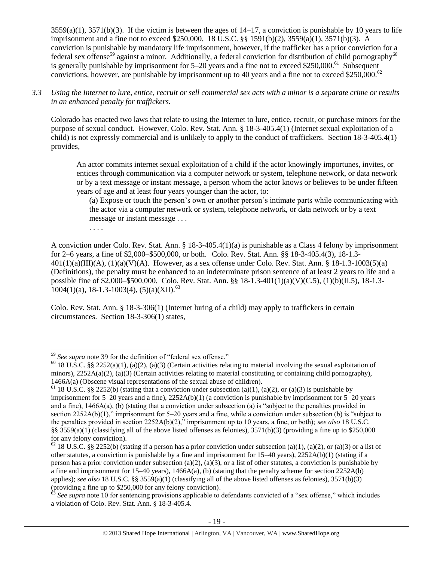$3559(a)(1)$ ,  $3571(b)(3)$ . If the victim is between the ages of  $14-17$ , a conviction is punishable by 10 years to life imprisonment and a fine not to exceed \$250,000. 18 U.S.C. §§ 1591(b)(2), 3559(a)(1), 3571(b)(3). A conviction is punishable by mandatory life imprisonment, however, if the trafficker has a prior conviction for a federal sex offense<sup>59</sup> against a minor. Additionally, a federal conviction for distribution of child pornography<sup>60</sup> is generally punishable by imprisonment for  $5-20$  years and a fine not to exceed \$250,000.<sup>61</sup> Subsequent convictions, however, are punishable by imprisonment up to 40 years and a fine not to exceed \$250,000.<sup>62</sup>

# *3.3 Using the Internet to lure, entice, recruit or sell commercial sex acts with a minor is a separate crime or results in an enhanced penalty for traffickers.*

Colorado has enacted two laws that relate to using the Internet to lure, entice, recruit, or purchase minors for the purpose of sexual conduct. However, Colo. Rev. Stat. Ann. § 18-3-405.4(1) (Internet sexual exploitation of a child) is not expressly commercial and is unlikely to apply to the conduct of traffickers. Section 18-3-405.4(1) provides,

An actor commits internet sexual exploitation of a child if the actor knowingly importunes, invites, or entices through communication via a computer network or system, telephone network, or data network or by a text message or instant message, a person whom the actor knows or believes to be under fifteen years of age and at least four years younger than the actor, to:

(a) Expose or touch the person's own or another person's intimate parts while communicating with the actor via a computer network or system, telephone network, or data network or by a text message or instant message . . .

. . . .

A conviction under Colo. Rev. Stat. Ann. § 18-3-405.4(1)(a) is punishable as a Class 4 felony by imprisonment for 2–6 years, a fine of \$2,000–\$500,000, or both. Colo. Rev. Stat. Ann. §§ 18-3-405.4(3), 18-1.3-  $401(1)(a)(III)(A)$ ,  $(1)(a)(V)(A)$ . However, as a sex offense under Colo. Rev. Stat. Ann. § 18-1.3-1003(5)(a) (Definitions), the penalty must be enhanced to an indeterminate prison sentence of at least 2 years to life and a possible fine of \$2,000–\$500,000. Colo. Rev. Stat. Ann. §§ 18-1.3-401(1)(a)(V)(C.5), (1)(b)(II.5), 18-1.3-  $1004(1)(a)$ , 18-1.3-1003(4), (5)(a)(XII).<sup>63</sup>

Colo. Rev. Stat. Ann. § 18-3-306(1) (Internet luring of a child) may apply to traffickers in certain circumstances. Section 18-3-306(1) states,

 $\overline{\phantom{a}}$ <sup>59</sup> *See supra* note [39](#page-11-1) for the definition of "federal sex offense."

<sup>&</sup>lt;sup>60</sup> 18 U.S.C. §§ 2252(a)(1), (a)(2), (a)(3) (Certain activities relating to material involving the sexual exploitation of minors),  $2252A(a)(2)$ ,  $(a)(3)$  (Certain activities relating to material constituting or containing child pornography), 1466A(a) (Obscene visual representations of the sexual abuse of children).

<sup>&</sup>lt;sup>61</sup> 18 U.S.C. §§ 2252(b) (stating that a conviction under subsection (a)(1), (a)(2), or (a)(3) is punishable by imprisonment for 5–20 years and a fine), 2252A(b)(1) (a conviction is punishable by imprisonment for 5–20 years and a fine), 1466A(a), (b) (stating that a conviction under subsection (a) is "subject to the penalties provided in section 2252A(b)(1)," imprisonment for 5–20 years and a fine, while a conviction under subsection (b) is "subject to the penalties provided in section 2252A(b)(2)," imprisonment up to 10 years, a fine, or both); *see also* 18 U.S.C. §§ 3559(a)(1) (classifying all of the above listed offenses as felonies), 3571(b)(3) (providing a fine up to \$250,000 for any felony conviction).

 $62$  18 U.S.C. §§ 2252(b) (stating if a person has a prior conviction under subsection (a)(1), (a)(2), or (a)(3) or a list of other statutes, a conviction is punishable by a fine and imprisonment for 15–40 years), 2252A(b)(1) (stating if a person has a prior conviction under subsection (a)(2), (a)(3), or a list of other statutes, a conviction is punishable by a fine and imprisonment for 15–40 years),  $1466A(a)$ , (b) (stating that the penalty scheme for section 2252A(b) applies); *see also* 18 U.S.C. §§ 3559(a)(1) (classifying all of the above listed offenses as felonies), 3571(b)(3) (providing a fine up to \$250,000 for any felony conviction).<br>  $63$  See sunna pata 10.6.

See supra note [10](#page-2-0) for sentencing provisions applicable to defendants convicted of a "sex offense," which includes a violation of Colo. Rev. Stat. Ann. § 18-3-405.4.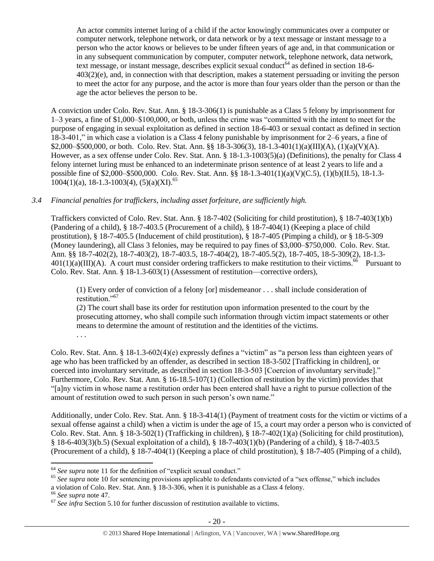An actor commits internet luring of a child if the actor knowingly communicates over a computer or computer network, telephone network, or data network or by a text message or instant message to a person who the actor knows or believes to be under fifteen years of age and, in that communication or in any subsequent communication by computer, computer network, telephone network, data network, text message, or instant message, describes explicit sexual conduct<sup>64</sup> as defined in section 18-6-403(2)(e), and, in connection with that description, makes a statement persuading or inviting the person to meet the actor for any purpose, and the actor is more than four years older than the person or than the age the actor believes the person to be.

A conviction under Colo. Rev. Stat. Ann. § 18-3-306(1) is punishable as a Class 5 felony by imprisonment for 1–3 years, a fine of \$1,000–\$100,000, or both, unless the crime was "committed with the intent to meet for the purpose of engaging in sexual exploitation as defined in section 18-6-403 or sexual contact as defined in section 18-3-401," in which case a violation is a Class 4 felony punishable by imprisonment for 2–6 years, a fine of  $$2,000–$500,000$ , or both. Colo. Rev. Stat. Ann. §§ 18-3-306(3), 18-1.3-401(1)(a)(III)(A), (1)(a)(V)(A). However, as a sex offense under Colo. Rev. Stat. Ann. § 18-1.3-1003(5)(a) (Definitions), the penalty for Class 4 felony internet luring must be enhanced to an indeterminate prison sentence of at least 2 years to life and a possible fine of \$2,000–\$500,000. Colo. Rev. Stat. Ann. §§ 18-1.3-401(1)(a)(V)(C.5), (1)(b)(II.5), 18-1.3-  $1004(1)(a)$ , 18-1.3-1003(4), (5)(a)(XI).<sup>65</sup>

# *3.4 Financial penalties for traffickers, including asset forfeiture, are sufficiently high.*

Traffickers convicted of Colo. Rev. Stat. Ann. § 18-7-402 (Soliciting for child prostitution), § 18-7-403(1)(b) (Pandering of a child), § 18-7-403.5 (Procurement of a child), § 18-7-404(1) (Keeping a place of child prostitution), § 18-7-405.5 (Inducement of child prostitution), § 18-7-405 (Pimping a child), or § 18-5-309 (Money laundering), all Class 3 felonies, may be required to pay fines of \$3,000–\$750,000. Colo. Rev. Stat. Ann. §§ 18-7-402(2), 18-7-403(2), 18-7-403.5, 18-7-404(2), 18-7-405.5(2), 18-7-405, 18-5-309(2), 18-1.3-  $401(1)(a)(III)(A)$ . A court must consider ordering traffickers to make restitution to their victims.<sup>66</sup> Pursuant to Colo. Rev. Stat. Ann. § 18-1.3-603(1) (Assessment of restitution—corrective orders),

(1) Every order of conviction of a felony [or] misdemeanor . . . shall include consideration of restitution."<sup>67</sup>

(2) The court shall base its order for restitution upon information presented to the court by the prosecuting attorney, who shall compile such information through victim impact statements or other means to determine the amount of restitution and the identities of the victims.

Colo. Rev. Stat. Ann. § 18-1.3-602(4)(e) expressly defines a "victim" as "a person less than eighteen years of age who has been trafficked by an offender, as described in section 18-3-502 [Trafficking in children], or coerced into involuntary servitude, as described in section 18-3-503 [Coercion of involuntary servitude]." Furthermore, Colo. Rev. Stat. Ann. § 16-18.5-107(1) (Collection of restitution by the victim) provides that "[a]ny victim in whose name a restitution order has been entered shall have a right to pursue collection of the amount of restitution owed to such person in such person's own name."

Additionally, under Colo. Rev. Stat. Ann. § 18-3-414(1) (Payment of treatment costs for the victim or victims of a sexual offense against a child) when a victim is under the age of 15, a court may order a person who is convicted of Colo. Rev. Stat. Ann. § 18-3-502(1) (Trafficking in children), § 18-7-402(1)(a) (Soliciting for child prostitution), § 18-6-403(3)(b.5) (Sexual exploitation of a child), § 18-7-403(1)(b) (Pandering of a child), § 18-7-403.5 (Procurement of a child), § 18-7-404(1) (Keeping a place of child prostitution), § 18-7-405 (Pimping of a child),

 $\overline{a}$ 

. . .

<sup>64</sup> *See supra* note [11](#page-2-1) for the definition of "explicit sexual conduct."

<sup>&</sup>lt;sup>65</sup> See supra note [10](#page-2-0) for sentencing provisions applicable to defendants convicted of a "sex offense," which includes a violation of Colo. Rev. Stat. Ann. § 18-3-306, when it is punishable as a Class 4 felony.

<sup>66</sup> *See supra* note [47.](#page-13-0)

<sup>&</sup>lt;sup>67</sup> See infra Section 5.10 for further discussion of restitution available to victims.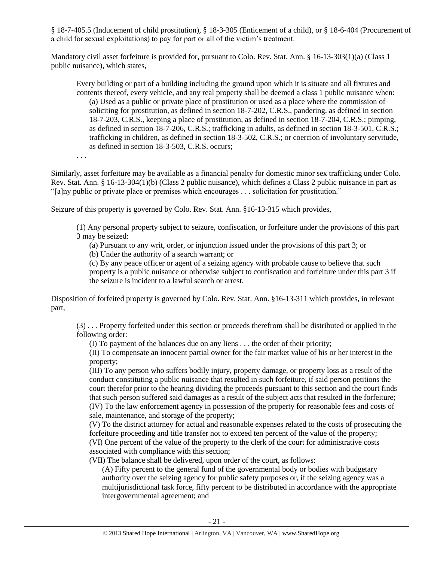§ 18-7-405.5 (Inducement of child prostitution), § 18-3-305 (Enticement of a child), or § 18-6-404 (Procurement of a child for sexual exploitations) to pay for part or all of the victim's treatment.

Mandatory civil asset forfeiture is provided for, pursuant to Colo. Rev. Stat. Ann. § 16-13-303(1)(a) (Class 1 public nuisance), which states,

Every building or part of a building including the ground upon which it is situate and all fixtures and contents thereof, every vehicle, and any real property shall be deemed a class 1 public nuisance when: (a) Used as a public or private place of prostitution or used as a place where the commission of soliciting for prostitution, as defined in section 18-7-202, C.R.S., pandering, as defined in section 18-7-203, C.R.S., keeping a place of prostitution, as defined in section 18-7-204, C.R.S.; pimping, as defined in section 18-7-206, C.R.S.; trafficking in adults, as defined in section 18-3-501, C.R.S.; trafficking in children, as defined in section 18-3-502, C.R.S.; or coercion of involuntary servitude, as defined in section 18-3-503, C.R.S. occurs;

. . .

Similarly, asset forfeiture may be available as a financial penalty for domestic minor sex trafficking under Colo. Rev. Stat. Ann. § 16-13-304(1)(b) (Class 2 public nuisance), which defines a Class 2 public nuisance in part as "[a]ny public or private place or premises which encourages . . . solicitation for prostitution."

Seizure of this property is governed by Colo. Rev. Stat. Ann. §16-13-315 which provides,

(1) Any personal property subject to seizure, confiscation, or forfeiture under the provisions of this part 3 may be seized:

(a) Pursuant to any writ, order, or injunction issued under the provisions of this part 3; or

(b) Under the authority of a search warrant; or

(c) By any peace officer or agent of a seizing agency with probable cause to believe that such property is a public nuisance or otherwise subject to confiscation and forfeiture under this part 3 if the seizure is incident to a lawful search or arrest.

Disposition of forfeited property is governed by Colo. Rev. Stat. Ann. §16-13-311 which provides, in relevant part,

(3) . . . Property forfeited under this section or proceeds therefrom shall be distributed or applied in the following order:

(I) To payment of the balances due on any liens . . . the order of their priority;

(II) To compensate an innocent partial owner for the fair market value of his or her interest in the property;

(III) To any person who suffers bodily injury, property damage, or property loss as a result of the conduct constituting a public nuisance that resulted in such forfeiture, if said person petitions the court therefor prior to the hearing dividing the proceeds pursuant to this section and the court finds that such person suffered said damages as a result of the subject acts that resulted in the forfeiture; (IV) To the law enforcement agency in possession of the property for reasonable fees and costs of sale, maintenance, and storage of the property;

(V) To the district attorney for actual and reasonable expenses related to the costs of prosecuting the forfeiture proceeding and title transfer not to exceed ten percent of the value of the property; (VI) One percent of the value of the property to the clerk of the court for administrative costs associated with compliance with this section;

(VII) The balance shall be delivered, upon order of the court, as follows:

(A) Fifty percent to the general fund of the governmental body or bodies with budgetary authority over the seizing agency for public safety purposes or, if the seizing agency was a multijurisdictional task force, fifty percent to be distributed in accordance with the appropriate intergovernmental agreement; and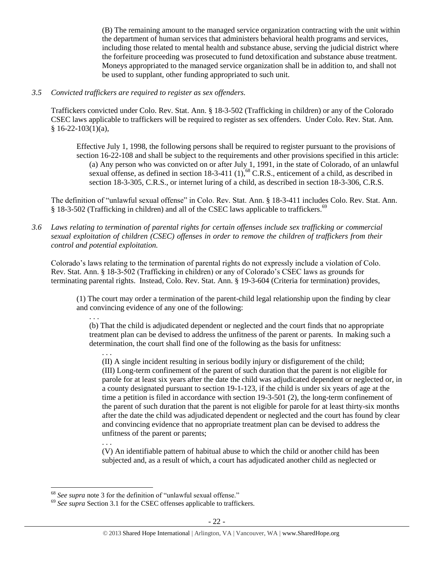(B) The remaining amount to the managed service organization contracting with the unit within the department of human services that administers behavioral health programs and services, including those related to mental health and substance abuse, serving the judicial district where the forfeiture proceeding was prosecuted to fund detoxification and substance abuse treatment. Moneys appropriated to the managed service organization shall be in addition to, and shall not be used to supplant, other funding appropriated to such unit.

## *3.5 Convicted traffickers are required to register as sex offenders.*

Traffickers convicted under Colo. Rev. Stat. Ann. § 18-3-502 (Trafficking in children) or any of the Colorado CSEC laws applicable to traffickers will be required to register as sex offenders. Under Colo. Rev. Stat. Ann.  $§ 16-22-103(1)(a),$ 

Effective July 1, 1998, the following persons shall be required to register pursuant to the provisions of section 16-22-108 and shall be subject to the requirements and other provisions specified in this article: (a) Any person who was convicted on or after July 1, 1991, in the state of Colorado, of an unlawful sexual offense, as defined in section  $18-3-411$  (1),<sup>68</sup> C.R.S., enticement of a child, as described in section 18-3-305, C.R.S., or internet luring of a child, as described in section 18-3-306, C.R.S.

The definition of "unlawful sexual offense" in Colo. Rev. Stat. Ann. § 18-3-411 includes Colo. Rev. Stat. Ann. § 18-3-502 (Trafficking in children) and all of the CSEC laws applicable to traffickers.<sup>69</sup>

*3.6 Laws relating to termination of parental rights for certain offenses include sex trafficking or commercial sexual exploitation of children (CSEC) offenses in order to remove the children of traffickers from their control and potential exploitation.* 

Colorado's laws relating to the termination of parental rights do not expressly include a violation of Colo. Rev. Stat. Ann. § 18-3-502 (Trafficking in children) or any of Colorado's CSEC laws as grounds for terminating parental rights. Instead, Colo. Rev. Stat. Ann. § 19-3-604 (Criteria for termination) provides,

(1) The court may order a termination of the parent-child legal relationship upon the finding by clear and convincing evidence of any one of the following:

(b) That the child is adjudicated dependent or neglected and the court finds that no appropriate treatment plan can be devised to address the unfitness of the parent or parents. In making such a determination, the court shall find one of the following as the basis for unfitness:

. . . (II) A single incident resulting in serious bodily injury or disfigurement of the child; (III) Long-term confinement of the parent of such duration that the parent is not eligible for parole for at least six years after the date the child was adjudicated dependent or neglected or, in a county designated pursuant to section 19-1-123, if the child is under six years of age at the time a petition is filed in accordance with section 19-3-501 (2), the long-term confinement of the parent of such duration that the parent is not eligible for parole for at least thirty-six months after the date the child was adjudicated dependent or neglected and the court has found by clear and convincing evidence that no appropriate treatment plan can be devised to address the unfitness of the parent or parents;

. . . (V) An identifiable pattern of habitual abuse to which the child or another child has been subjected and, as a result of which, a court has adjudicated another child as neglected or

. . .

 $\overline{a}$ <sup>68</sup> *See supra* note [3](#page-1-0) for the definition of "unlawful sexual offense."

<sup>&</sup>lt;sup>69</sup> See supra Section 3.1 for the CSEC offenses applicable to traffickers.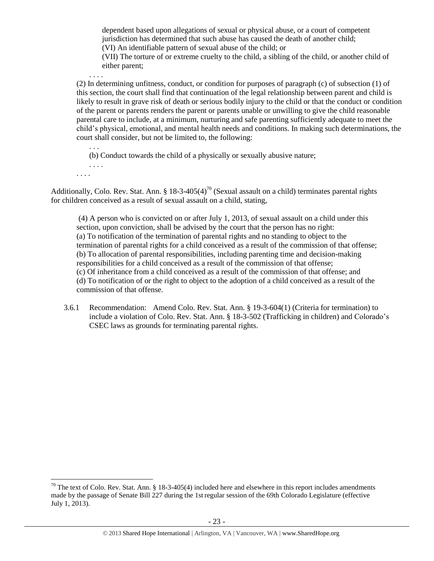dependent based upon allegations of sexual or physical abuse, or a court of competent jurisdiction has determined that such abuse has caused the death of another child; (VI) An identifiable pattern of sexual abuse of the child; or

(VII) The torture of or extreme cruelty to the child, a sibling of the child, or another child of either parent;

(2) In determining unfitness, conduct, or condition for purposes of paragraph (c) of subsection (1) of this section, the court shall find that continuation of the legal relationship between parent and child is likely to result in grave risk of death or serious bodily injury to the child or that the conduct or condition of the parent or parents renders the parent or parents unable or unwilling to give the child reasonable parental care to include, at a minimum, nurturing and safe parenting sufficiently adequate to meet the child's physical, emotional, and mental health needs and conditions. In making such determinations, the court shall consider, but not be limited to, the following:

. . . (b) Conduct towards the child of a physically or sexually abusive nature;

. . . . . . . .

 $\overline{\phantom{a}}$ 

. . . .

Additionally, Colo. Rev. Stat. Ann. § 18-3-405(4)<sup>70</sup> (Sexual assault on a child) terminates parental rights for children conceived as a result of sexual assault on a child, stating,

(4) A person who is convicted on or after July 1, 2013, of sexual assault on a child under this section, upon conviction, shall be advised by the court that the person has no right: (a) To notification of the termination of parental rights and no standing to object to the termination of parental rights for a child conceived as a result of the commission of that offense; (b) To allocation of parental responsibilities, including parenting time and decision-making responsibilities for a child conceived as a result of the commission of that offense; (c) Of inheritance from a child conceived as a result of the commission of that offense; and (d) To notification of or the right to object to the adoption of a child conceived as a result of the commission of that offense.

3.6.1 Recommendation: Amend Colo. Rev. Stat. Ann. § 19-3-604(1) (Criteria for termination) to include a violation of Colo. Rev. Stat. Ann. § 18-3-502 (Trafficking in children) and Colorado's CSEC laws as grounds for terminating parental rights.

<sup>&</sup>lt;sup>70</sup> The text of Colo. Rev. Stat. Ann. § 18-3-405(4) included here and elsewhere in this report includes amendments made by the passage of Senate Bill 227 during the 1st regular session of the 69th Colorado Legislature (effective July 1, 2013).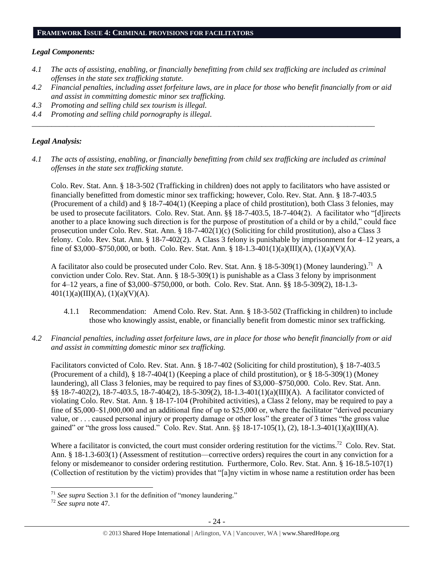#### **FRAMEWORK ISSUE 4: CRIMINAL PROVISIONS FOR FACILITATORS**

#### *Legal Components:*

- *4.1 The acts of assisting, enabling, or financially benefitting from child sex trafficking are included as criminal offenses in the state sex trafficking statute.*
- *4.2 Financial penalties, including asset forfeiture laws, are in place for those who benefit financially from or aid and assist in committing domestic minor sex trafficking.*
- *4.3 Promoting and selling child sex tourism is illegal.*
- *4.4 Promoting and selling child pornography is illegal.*

#### *Legal Analysis:*

*4.1 The acts of assisting, enabling, or financially benefitting from child sex trafficking are included as criminal offenses in the state sex trafficking statute.*

*\_\_\_\_\_\_\_\_\_\_\_\_\_\_\_\_\_\_\_\_\_\_\_\_\_\_\_\_\_\_\_\_\_\_\_\_\_\_\_\_\_\_\_\_\_\_\_\_\_\_\_\_\_\_\_\_\_\_\_\_\_\_\_\_\_\_\_\_\_\_\_\_\_\_\_\_\_\_\_\_\_\_\_\_\_\_\_\_*

Colo. Rev. Stat. Ann. § 18-3-502 (Trafficking in children) does not apply to facilitators who have assisted or financially benefitted from domestic minor sex trafficking; however, Colo. Rev. Stat. Ann. § 18-7-403.5 (Procurement of a child) and § 18-7-404(1) (Keeping a place of child prostitution), both Class 3 felonies, may be used to prosecute facilitators. Colo. Rev. Stat. Ann. §§ 18-7-403.5, 18-7-404(2). A facilitator who "[d]irects another to a place knowing such direction is for the purpose of prostitution of a child or by a child," could face prosecution under Colo. Rev. Stat. Ann. § 18-7-402(1)(c) (Soliciting for child prostitution), also a Class 3 felony. Colo. Rev. Stat. Ann. § 18-7-402(2). A Class 3 felony is punishable by imprisonment for 4–12 years, a fine of \$3,000–\$750,000, or both. Colo. Rev. Stat. Ann. § 18-1.3-401(1)(a)(III)(A), (1)(a)(V)(A).

A facilitator also could be prosecuted under Colo. Rev. Stat. Ann. § 18-5-309(1) (Money laundering).<sup>71</sup> A conviction under Colo. Rev. Stat. Ann. § 18-5-309(1) is punishable as a Class 3 felony by imprisonment for 4–12 years, a fine of \$3,000–\$750,000, or both. Colo. Rev. Stat. Ann. §§ 18-5-309(2), 18-1.3-  $401(1)(a)(III)(A), (1)(a)(V)(A).$ 

- 4.1.1 Recommendation: Amend Colo. Rev. Stat. Ann. § 18-3-502 (Trafficking in children) to include those who knowingly assist, enable, or financially benefit from domestic minor sex trafficking.
- *4.2 Financial penalties, including asset forfeiture laws, are in place for those who benefit financially from or aid and assist in committing domestic minor sex trafficking.*

Facilitators convicted of Colo. Rev. Stat. Ann. § 18-7-402 (Soliciting for child prostitution), § 18-7-403.5 (Procurement of a child), § 18-7-404(1) (Keeping a place of child prostitution), or § 18-5-309(1) (Money laundering), all Class 3 felonies, may be required to pay fines of \$3,000–\$750,000. Colo. Rev. Stat. Ann. §§ 18-7-402(2), 18-7-403.5, 18-7-404(2), 18-5-309(2), 18-1.3-401(1)(a)(III)(A). A facilitator convicted of violating Colo. Rev. Stat. Ann. § 18-17-104 (Prohibited activities), a Class 2 felony, may be required to pay a fine of \$5,000–\$1,000,000 and an additional fine of up to \$25,000 or, where the facilitator "derived pecuniary value, or . . . caused personal injury or property damage or other loss" the greater of 3 times "the gross value gained" or "the gross loss caused." Colo. Rev. Stat. Ann. §§ 18-17-105(1), (2), 18-1.3-401(1)(a)(III)(A).

Where a facilitator is convicted, the court must consider ordering restitution for the victims.<sup>72</sup> Colo. Rev. Stat. Ann. § 18-1.3-603(1) (Assessment of restitution—corrective orders) requires the court in any conviction for a felony or misdemeanor to consider ordering restitution. Furthermore, Colo. Rev. Stat. Ann. § 16-18.5-107(1) (Collection of restitution by the victim) provides that "[a]ny victim in whose name a restitution order has been

 $\overline{a}$ 

<sup>71</sup> *See supra* Section 3.1 for the definition of "money laundering."

<sup>72</sup> *See supra* note [47.](#page-13-0)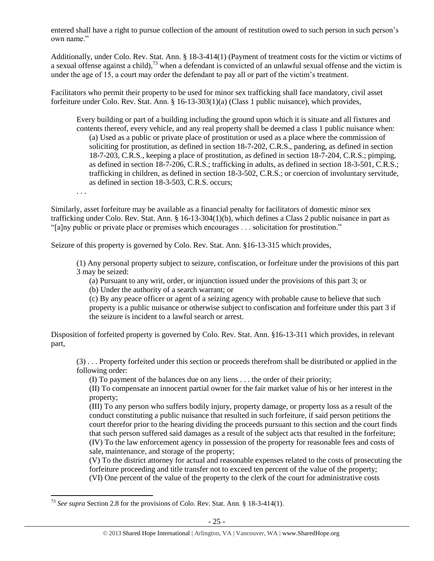entered shall have a right to pursue collection of the amount of restitution owed to such person in such person's own name."

Additionally, under Colo. Rev. Stat. Ann. § 18-3-414(1) (Payment of treatment costs for the victim or victims of a sexual offense against a child),<sup>73</sup> when a defendant is convicted of an unlawful sexual offense and the victim is under the age of 15, a court may order the defendant to pay all or part of the victim's treatment.

Facilitators who permit their property to be used for minor sex trafficking shall face mandatory, civil asset forfeiture under Colo. Rev. Stat. Ann. § 16-13-303(1)(a) (Class 1 public nuisance), which provides,

Every building or part of a building including the ground upon which it is situate and all fixtures and contents thereof, every vehicle, and any real property shall be deemed a class 1 public nuisance when: (a) Used as a public or private place of prostitution or used as a place where the commission of soliciting for prostitution, as defined in section 18-7-202, C.R.S., pandering, as defined in section 18-7-203, C.R.S., keeping a place of prostitution, as defined in section 18-7-204, C.R.S.; pimping, as defined in section 18-7-206, C.R.S.; trafficking in adults, as defined in section 18-3-501, C.R.S.; trafficking in children, as defined in section 18-3-502, C.R.S.; or coercion of involuntary servitude, as defined in section 18-3-503, C.R.S. occurs;

. . .

Similarly, asset forfeiture may be available as a financial penalty for facilitators of domestic minor sex trafficking under Colo. Rev. Stat. Ann. § 16-13-304(1)(b), which defines a Class 2 public nuisance in part as "[a]ny public or private place or premises which encourages . . . solicitation for prostitution."

Seizure of this property is governed by Colo. Rev. Stat. Ann. §16-13-315 which provides,

(1) Any personal property subject to seizure, confiscation, or forfeiture under the provisions of this part 3 may be seized:

(a) Pursuant to any writ, order, or injunction issued under the provisions of this part 3; or

(b) Under the authority of a search warrant; or

(c) By any peace officer or agent of a seizing agency with probable cause to believe that such property is a public nuisance or otherwise subject to confiscation and forfeiture under this part 3 if the seizure is incident to a lawful search or arrest.

Disposition of forfeited property is governed by Colo. Rev. Stat. Ann. §16-13-311 which provides, in relevant part,

(3) . . . Property forfeited under this section or proceeds therefrom shall be distributed or applied in the following order:

(I) To payment of the balances due on any liens . . . the order of their priority;

(II) To compensate an innocent partial owner for the fair market value of his or her interest in the property;

(III) To any person who suffers bodily injury, property damage, or property loss as a result of the conduct constituting a public nuisance that resulted in such forfeiture, if said person petitions the court therefor prior to the hearing dividing the proceeds pursuant to this section and the court finds that such person suffered said damages as a result of the subject acts that resulted in the forfeiture; (IV) To the law enforcement agency in possession of the property for reasonable fees and costs of sale, maintenance, and storage of the property;

(V) To the district attorney for actual and reasonable expenses related to the costs of prosecuting the forfeiture proceeding and title transfer not to exceed ten percent of the value of the property; (VI) One percent of the value of the property to the clerk of the court for administrative costs

 $\overline{\phantom{a}}$ <sup>73</sup> *See supra* Section 2.8 for the provisions of Colo. Rev. Stat. Ann. § 18-3-414(1).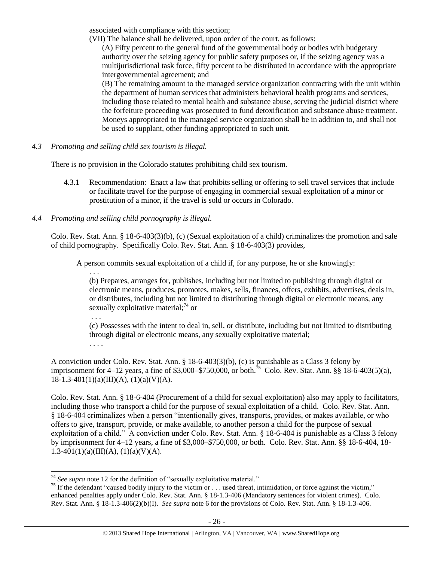associated with compliance with this section;

(VII) The balance shall be delivered, upon order of the court, as follows:

(A) Fifty percent to the general fund of the governmental body or bodies with budgetary authority over the seizing agency for public safety purposes or, if the seizing agency was a multijurisdictional task force, fifty percent to be distributed in accordance with the appropriate intergovernmental agreement; and

(B) The remaining amount to the managed service organization contracting with the unit within the department of human services that administers behavioral health programs and services, including those related to mental health and substance abuse, serving the judicial district where the forfeiture proceeding was prosecuted to fund detoxification and substance abuse treatment. Moneys appropriated to the managed service organization shall be in addition to, and shall not be used to supplant, other funding appropriated to such unit.

*4.3 Promoting and selling child sex tourism is illegal.*

There is no provision in the Colorado statutes prohibiting child sex tourism.

4.3.1 Recommendation: Enact a law that prohibits selling or offering to sell travel services that include or facilitate travel for the purpose of engaging in commercial sexual exploitation of a minor or prostitution of a minor, if the travel is sold or occurs in Colorado.

# *4.4 Promoting and selling child pornography is illegal.*

Colo. Rev. Stat. Ann. § 18-6-403(3)(b), (c) (Sexual exploitation of a child) criminalizes the promotion and sale of child pornography. Specifically Colo. Rev. Stat. Ann. § 18-6-403(3) provides,

A person commits sexual exploitation of a child if, for any purpose, he or she knowingly:

(b) Prepares, arranges for, publishes, including but not limited to publishing through digital or electronic means, produces, promotes, makes, sells, finances, offers, exhibits, advertises, deals in, or distributes, including but not limited to distributing through digital or electronic means, any sexually exploitative material; $^{74}$  or

. . .

. . .

(c) Possesses with the intent to deal in, sell, or distribute, including but not limited to distributing through digital or electronic means, any sexually exploitative material; . . . .

A conviction under Colo. Rev. Stat. Ann. § 18-6-403(3)(b), (c) is punishable as a Class 3 felony by imprisonment for 4–12 years, a fine of \$3,000–\$750,000, or both.<sup>75</sup> Colo. Rev. Stat. Ann. §§ 18-6-403(5)(a),  $18-1.3-401(1)(a)(III)(A), (1)(a)(V)(A).$ 

Colo. Rev. Stat. Ann. § 18-6-404 (Procurement of a child for sexual exploitation) also may apply to facilitators, including those who transport a child for the purpose of sexual exploitation of a child. Colo. Rev. Stat. Ann. § 18-6-404 criminalizes when a person "intentionally gives, transports, provides, or makes available, or who offers to give, transport, provide, or make available, to another person a child for the purpose of sexual exploitation of a child." A conviction under Colo. Rev. Stat. Ann. § 18-6-404 is punishable as a Class 3 felony by imprisonment for 4–12 years, a fine of \$3,000–\$750,000, or both. Colo. Rev. Stat. Ann. §§ 18-6-404, 18- 1.3-401(1)(a)(III)(A), (1)(a)(V)(A).

 $\overline{\phantom{a}}$  $74$  *See supra* note [12](#page-2-2) for the definition of "sexually exploitative material."

 $75$  If the defendant "caused bodily injury to the victim or  $\dots$  used threat, intimidation, or force against the victim," enhanced penalties apply under Colo. Rev. Stat. Ann. § 18-1.3-406 (Mandatory sentences for violent crimes). Colo. Rev. Stat. Ann. § 18-1.3-406(2)(b)(I). *See supra* not[e 6](#page-1-1) for the provisions of Colo. Rev. Stat. Ann. § 18-1.3-406.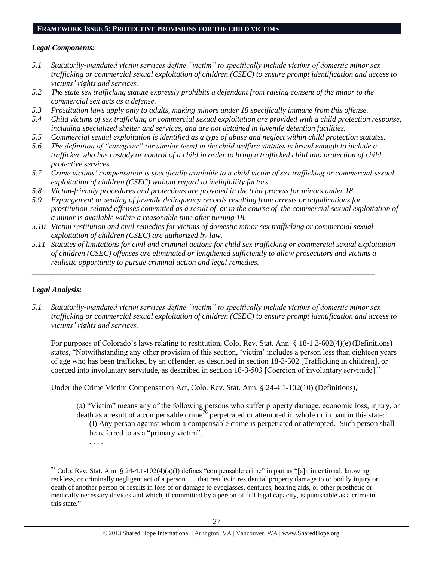#### **FRAMEWORK ISSUE 5: PROTECTIVE PROVISIONS FOR THE CHILD VICTIMS**

#### *Legal Components:*

- *5.1 Statutorily-mandated victim services define "victim" to specifically include victims of domestic minor sex trafficking or commercial sexual exploitation of children (CSEC) to ensure prompt identification and access to victims' rights and services.*
- *5.2 The state sex trafficking statute expressly prohibits a defendant from raising consent of the minor to the commercial sex acts as a defense.*
- *5.3 Prostitution laws apply only to adults, making minors under 18 specifically immune from this offense.*
- *5.4 Child victims of sex trafficking or commercial sexual exploitation are provided with a child protection response, including specialized shelter and services, and are not detained in juvenile detention facilities.*
- *5.5 Commercial sexual exploitation is identified as a type of abuse and neglect within child protection statutes.*
- *5.6 The definition of "caregiver" (or similar term) in the child welfare statutes is broad enough to include a*  trafficker who has custody or control of a child in order to bring a trafficked child into protection of child *protective services.*
- *5.7 Crime victims' compensation is specifically available to a child victim of sex trafficking or commercial sexual exploitation of children (CSEC) without regard to ineligibility factors.*
- *5.8 Victim-friendly procedures and protections are provided in the trial process for minors under 18.*
- *5.9 Expungement or sealing of juvenile delinquency records resulting from arrests or adjudications for prostitution-related offenses committed as a result of, or in the course of, the commercial sexual exploitation of a minor is available within a reasonable time after turning 18.*
- *5.10 Victim restitution and civil remedies for victims of domestic minor sex trafficking or commercial sexual exploitation of children (CSEC) are authorized by law.*

*\_\_\_\_\_\_\_\_\_\_\_\_\_\_\_\_\_\_\_\_\_\_\_\_\_\_\_\_\_\_\_\_\_\_\_\_\_\_\_\_\_\_\_\_\_\_\_\_\_\_\_\_\_\_\_\_\_\_\_\_\_\_\_\_\_\_\_\_\_\_\_\_\_\_\_\_\_\_\_\_\_\_\_\_\_\_\_\_*

*5.11 Statutes of limitations for civil and criminal actions for child sex trafficking or commercial sexual exploitation of children (CSEC) offenses are eliminated or lengthened sufficiently to allow prosecutors and victims a realistic opportunity to pursue criminal action and legal remedies.*

## *Legal Analysis:*

 $\overline{a}$ 

. . . .

*5.1 Statutorily-mandated victim services define "victim" to specifically include victims of domestic minor sex trafficking or commercial sexual exploitation of children (CSEC) to ensure prompt identification and access to victims' rights and services.*

For purposes of Colorado's laws relating to restitution, Colo. Rev. Stat. Ann. § 18-1.3-602(4)(e)(Definitions) states, "Notwithstanding any other provision of this section, 'victim' includes a person less than eighteen years of age who has been trafficked by an offender, as described in section 18-3-502 [Trafficking in children], or coerced into involuntary servitude, as described in section 18-3-503 [Coercion of involuntary servitude]."

Under the Crime Victim Compensation Act, Colo. Rev. Stat. Ann. § 24-4.1-102(10) (Definitions),

(a) "Victim" means any of the following persons who suffer property damage, economic loss, injury, or death as a result of a compensable crime<sup>76</sup> perpetrated or attempted in whole or in part in this state: (I) Any person against whom a compensable crime is perpetrated or attempted. Such person shall be referred to as a "primary victim".

<sup>&</sup>lt;sup>76</sup> Colo. Rev. Stat. Ann. § 24-4.1-102(4)(a)(I) defines "compensable crime" in part as "[a]n intentional, knowing, reckless, or criminally negligent act of a person . . . that results in residential property damage to or bodily injury or death of another person or results in loss of or damage to eyeglasses, dentures, hearing aids, or other prosthetic or medically necessary devices and which, if committed by a person of full legal capacity, is punishable as a crime in this state."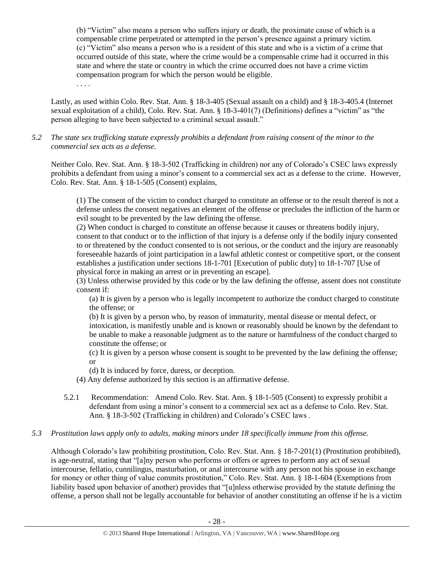(b) "Victim" also means a person who suffers injury or death, the proximate cause of which is a compensable crime perpetrated or attempted in the person's presence against a primary victim. (c) "Victim" also means a person who is a resident of this state and who is a victim of a crime that occurred outside of this state, where the crime would be a compensable crime had it occurred in this state and where the state or country in which the crime occurred does not have a crime victim compensation program for which the person would be eligible.

. . . .

Lastly, as used within Colo. Rev. Stat. Ann. § 18-3-405 (Sexual assault on a child) and § 18-3-405.4 (Internet sexual exploitation of a child), Colo. Rev. Stat. Ann. § 18-3-401(7) (Definitions) defines a "victim" as "the person alleging to have been subjected to a criminal sexual assault."

*5.2 The state sex trafficking statute expressly prohibits a defendant from raising consent of the minor to the commercial sex acts as a defense.*

Neither Colo. Rev. Stat. Ann. § 18-3-502 (Trafficking in children) nor any of Colorado's CSEC laws expressly prohibits a defendant from using a minor's consent to a commercial sex act as a defense to the crime. However, Colo. Rev. Stat. Ann. § 18-1-505 (Consent) explains,

(1) The consent of the victim to conduct charged to constitute an offense or to the result thereof is not a defense unless the consent negatives an element of the offense or precludes the infliction of the harm or evil sought to be prevented by the law defining the offense.

(2) When conduct is charged to constitute an offense because it causes or threatens bodily injury, consent to that conduct or to the infliction of that injury is a defense only if the bodily injury consented to or threatened by the conduct consented to is not serious, or the conduct and the injury are reasonably foreseeable hazards of joint participation in a lawful athletic contest or competitive sport, or the consent establishes a justification under sections 18-1-701 [Execution of public duty] to 18-1-707 [Use of physical force in making an arrest or in preventing an escape].

(3) Unless otherwise provided by this code or by the law defining the offense, assent does not constitute consent if:

(a) It is given by a person who is legally incompetent to authorize the conduct charged to constitute the offense; or

(b) It is given by a person who, by reason of immaturity, mental disease or mental defect, or intoxication, is manifestly unable and is known or reasonably should be known by the defendant to be unable to make a reasonable judgment as to the nature or harmfulness of the conduct charged to constitute the offense; or

(c) It is given by a person whose consent is sought to be prevented by the law defining the offense; or

(d) It is induced by force, duress, or deception.

(4) Any defense authorized by this section is an affirmative defense.

5.2.1 Recommendation: Amend Colo. Rev. Stat. Ann. § 18-1-505 (Consent) to expressly prohibit a defendant from using a minor's consent to a commercial sex act as a defense to Colo. Rev. Stat. Ann. § 18-3-502 (Trafficking in children) and Colorado's CSEC laws .

# *5.3 Prostitution laws apply only to adults, making minors under 18 specifically immune from this offense.*

Although Colorado's law prohibiting prostitution, Colo. Rev. Stat. Ann. § 18-7-201(1) (Prostitution prohibited), is age-neutral, stating that "[a]ny person who performs or offers or agrees to perform any act of sexual intercourse, fellatio, cunnilingus, masturbation, or anal intercourse with any person not his spouse in exchange for money or other thing of value commits prostitution," Colo. Rev. Stat. Ann. § 18-1-604 (Exemptions from liability based upon behavior of another) provides that "[u]nless otherwise provided by the statute defining the offense, a person shall not be legally accountable for behavior of another constituting an offense if he is a victim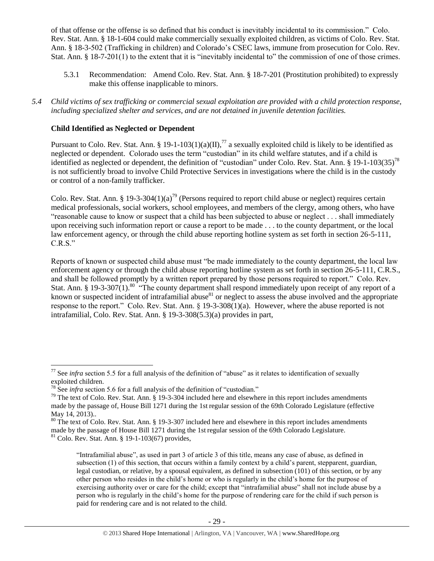of that offense or the offense is so defined that his conduct is inevitably incidental to its commission." Colo. Rev. Stat. Ann. § 18-1-604 could make commercially sexually exploited children, as victims of Colo. Rev. Stat. Ann. § 18-3-502 (Trafficking in children) and Colorado's CSEC laws, immune from prosecution for Colo. Rev. Stat. Ann. § 18-7-201(1) to the extent that it is "inevitably incidental to" the commission of one of those crimes.

- 5.3.1 Recommendation: Amend Colo. Rev. Stat. Ann. § 18-7-201 (Prostitution prohibited) to expressly make this offense inapplicable to minors.
- *5.4 Child victims of sex trafficking or commercial sexual exploitation are provided with a child protection response, including specialized shelter and services, and are not detained in juvenile detention facilities.*

# **Child Identified as Neglected or Dependent**

Pursuant to Colo. Rev. Stat. Ann. § 19-1-103(1)(a)(II),<sup>77</sup> a sexually exploited child is likely to be identified as neglected or dependent. Colorado uses the term "custodian" in its child welfare statutes, and if a child is identified as neglected or dependent, the definition of "custodian" under Colo. Rev. Stat. Ann. § 19-1-103(35)<sup>78</sup> is not sufficiently broad to involve Child Protective Services in investigations where the child is in the custody or control of a non-family trafficker.

<span id="page-28-0"></span>Colo. Rev. Stat. Ann. § 19-3-304(1)(a)<sup>79</sup> (Persons required to report child abuse or neglect) requires certain medical professionals, social workers, school employees, and members of the clergy, among others, who have "reasonable cause to know or suspect that a child has been subjected to abuse or neglect . . . shall immediately upon receiving such information report or cause a report to be made . . . to the county department, or the local law enforcement agency, or through the child abuse reporting hotline system as set forth in section 26-5-111, C.R.S."

Reports of known or suspected child abuse must "be made immediately to the county department, the local law enforcement agency or through the child abuse reporting hotline system as set forth in section 26-5-111, C.R.S., and shall be followed promptly by a written report prepared by those persons required to report." Colo. Rev. Stat. Ann. § 19-3-307(1).<sup>80</sup> "The county department shall respond immediately upon receipt of any report of a known or suspected incident of intrafamilial abuse $^{81}$  or neglect to assess the abuse involved and the appropriate response to the report." Colo. Rev. Stat. Ann. § 19-3-308(1)(a). However, where the abuse reported is not intrafamilial, Colo. Rev. Stat. Ann. § 19-3-308(5.3)(a) provides in part,

 $\overline{\phantom{a}}$ 

<sup>77</sup> See *infra* section 5.5 for a full analysis of the definition of "abuse" as it relates to identification of sexually exploited children.

<sup>&</sup>lt;sup>78</sup> See *infra* section 5.6 for a full analysis of the definition of "custodian."

<sup>&</sup>lt;sup>79</sup> The text of Colo. Rev. Stat. Ann. § 19-3-304 included here and elsewhere in this report includes amendments made by the passage of, House Bill 1271 during the 1st regular session of the 69th Colorado Legislature (effective May 14, 2013)..

<sup>&</sup>lt;sup>80</sup> The text of Colo. Rev. Stat. Ann. § 19-3-307 included here and elsewhere in this report includes amendments made by the passage of House Bill 1271 during the 1st regular session of the 69th Colorado Legislature.  $81$  Colo. Rev. Stat. Ann. § 19-1-103(67) provides,

<sup>&</sup>quot;Intrafamilial abuse", as used in part 3 of article 3 of this title, means any case of abuse, as defined in subsection (1) of this section, that occurs within a family context by a child's parent, stepparent, guardian, legal custodian, or relative, by a spousal equivalent, as defined in subsection (101) of this section, or by any other person who resides in the child's home or who is regularly in the child's home for the purpose of exercising authority over or care for the child; except that "intrafamilial abuse" shall not include abuse by a person who is regularly in the child's home for the purpose of rendering care for the child if such person is paid for rendering care and is not related to the child.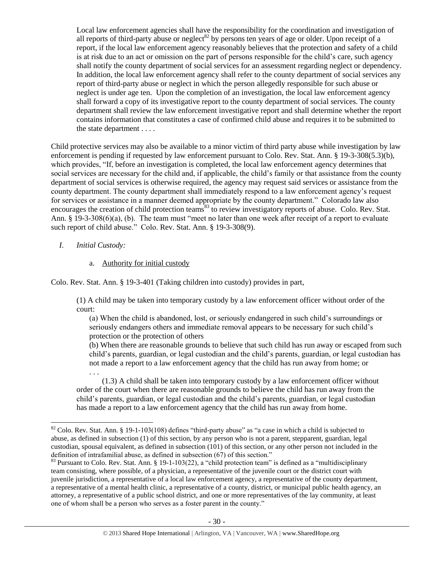Local law enforcement agencies shall have the responsibility for the coordination and investigation of all reports of third-party abuse or neglect<sup>82</sup> by persons ten years of age or older. Upon receipt of a report, if the local law enforcement agency reasonably believes that the protection and safety of a child is at risk due to an act or omission on the part of persons responsible for the child's care, such agency shall notify the county department of social services for an assessment regarding neglect or dependency. In addition, the local law enforcement agency shall refer to the county department of social services any report of third-party abuse or neglect in which the person allegedly responsible for such abuse or neglect is under age ten. Upon the completion of an investigation, the local law enforcement agency shall forward a copy of its investigative report to the county department of social services. The county department shall review the law enforcement investigative report and shall determine whether the report contains information that constitutes a case of confirmed child abuse and requires it to be submitted to the state department . . . .

Child protective services may also be available to a minor victim of third party abuse while investigation by law enforcement is pending if requested by law enforcement pursuant to Colo. Rev. Stat. Ann. § 19-3-308(5.3)(b), which provides, "If, before an investigation is completed, the local law enforcement agency determines that social services are necessary for the child and, if applicable, the child's family or that assistance from the county department of social services is otherwise required, the agency may request said services or assistance from the county department. The county department shall immediately respond to a law enforcement agency's request for services or assistance in a manner deemed appropriate by the county department." Colorado law also encourages the creation of child protection teams<sup>83</sup> to review investigatory reports of abuse. Colo. Rev. Stat. Ann. § 19-3-308(6)(a), (b). The team must "meet no later than one week after receipt of a report to evaluate such report of child abuse." Colo. Rev. Stat. Ann. § 19-3-308(9).

# *I. Initial Custody:*

 $\overline{\phantom{a}}$ 

# a. Authority for initial custody

Colo. Rev. Stat. Ann. § 19-3-401 (Taking children into custody) provides in part,

(1) A child may be taken into temporary custody by a law enforcement officer without order of the court:

(a) When the child is abandoned, lost, or seriously endangered in such child's surroundings or seriously endangers others and immediate removal appears to be necessary for such child's protection or the protection of others

(b) When there are reasonable grounds to believe that such child has run away or escaped from such child's parents, guardian, or legal custodian and the child's parents, guardian, or legal custodian has not made a report to a law enforcement agency that the child has run away from home; or . . .

(1.3) A child shall be taken into temporary custody by a law enforcement officer without order of the court when there are reasonable grounds to believe the child has run away from the child's parents, guardian, or legal custodian and the child's parents, guardian, or legal custodian has made a report to a law enforcement agency that the child has run away from home.

 $82$  Colo. Rev. Stat. Ann. § 19-1-103(108) defines "third-party abuse" as "a case in which a child is subjected to abuse, as defined in subsection (1) of this section, by any person who is not a parent, stepparent, guardian, legal custodian, spousal equivalent, as defined in subsection (101) of this section, or any other person not included in the definition of intrafamilial abuse, as defined in subsection (67) of this section."

<sup>&</sup>lt;sup>83</sup> Pursuant to Colo. Rev. Stat. Ann. § 19-1-103(22), a "child protection team" is defined as a "multidisciplinary team consisting, where possible, of a physician, a representative of the juvenile court or the district court with juvenile jurisdiction, a representative of a local law enforcement agency, a representative of the county department, a representative of a mental health clinic, a representative of a county, district, or municipal public health agency, an attorney, a representative of a public school district, and one or more representatives of the lay community, at least one of whom shall be a person who serves as a foster parent in the county."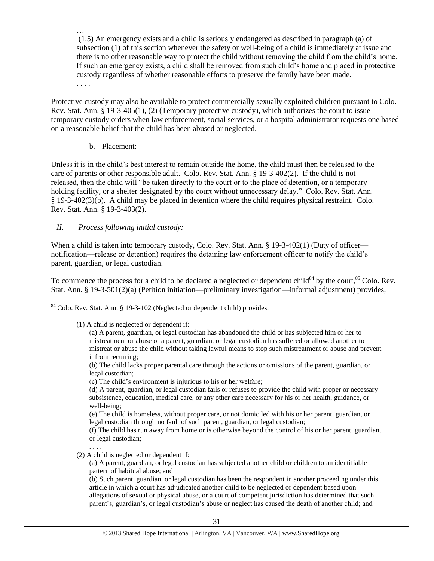… (1.5) An emergency exists and a child is seriously endangered as described in paragraph (a) of subsection (1) of this section whenever the safety or well-being of a child is immediately at issue and there is no other reasonable way to protect the child without removing the child from the child's home. If such an emergency exists, a child shall be removed from such child's home and placed in protective custody regardless of whether reasonable efforts to preserve the family have been made. . . . .

Protective custody may also be available to protect commercially sexually exploited children pursuant to Colo. Rev. Stat. Ann. § 19-3-405(1), (2) (Temporary protective custody), which authorizes the court to issue temporary custody orders when law enforcement, social services, or a hospital administrator requests one based on a reasonable belief that the child has been abused or neglected.

# b. Placement:

Unless it is in the child's best interest to remain outside the home, the child must then be released to the care of parents or other responsible adult. Colo. Rev. Stat. Ann. § 19-3-402(2). If the child is not released, then the child will "be taken directly to the court or to the place of detention, or a temporary holding facility, or a shelter designated by the court without unnecessary delay." Colo. Rev. Stat. Ann. § 19-3-402(3)(b). A child may be placed in detention where the child requires physical restraint. Colo. Rev. Stat. Ann. § 19-3-403(2).

# *II. Process following initial custody:*

When a child is taken into temporary custody, Colo. Rev. Stat. Ann. § 19-3-402(1) (Duty of officer notification—release or detention) requires the detaining law enforcement officer to notify the child's parent, guardian, or legal custodian.

To commence the process for a child to be declared a neglected or dependent child<sup>84</sup> by the court,  $85$  Colo. Rev. Stat. Ann. § 19-3-501(2)(a) (Petition initiation—preliminary investigation—informal adjustment) provides,

 $\overline{\phantom{a}}$  $84$  Colo. Rev. Stat. Ann. § 19-3-102 (Neglected or dependent child) provides,

(1) A child is neglected or dependent if:

(a) A parent, guardian, or legal custodian has abandoned the child or has subjected him or her to mistreatment or abuse or a parent, guardian, or legal custodian has suffered or allowed another to mistreat or abuse the child without taking lawful means to stop such mistreatment or abuse and prevent it from recurring;

(b) The child lacks proper parental care through the actions or omissions of the parent, guardian, or legal custodian;

(c) The child's environment is injurious to his or her welfare;

(d) A parent, guardian, or legal custodian fails or refuses to provide the child with proper or necessary subsistence, education, medical care, or any other care necessary for his or her health, guidance, or well-being;

(e) The child is homeless, without proper care, or not domiciled with his or her parent, guardian, or legal custodian through no fault of such parent, guardian, or legal custodian;

(f) The child has run away from home or is otherwise beyond the control of his or her parent, guardian, or legal custodian;

. . . . (2) A child is neglected or dependent if:

> (a) A parent, guardian, or legal custodian has subjected another child or children to an identifiable pattern of habitual abuse; and

(b) Such parent, guardian, or legal custodian has been the respondent in another proceeding under this article in which a court has adjudicated another child to be neglected or dependent based upon allegations of sexual or physical abuse, or a court of competent jurisdiction has determined that such parent's, guardian's, or legal custodian's abuse or neglect has caused the death of another child; and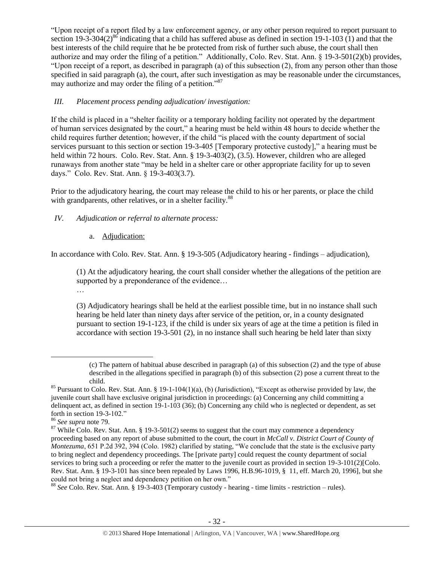"Upon receipt of a report filed by a law enforcement agency, or any other person required to report pursuant to section 19-3-304(2)<sup>86</sup> indicating that a child has suffered abuse as defined in section 19-1-103 (1) and that the best interests of the child require that he be protected from risk of further such abuse, the court shall then authorize and may order the filing of a petition." Additionally, Colo. Rev. Stat. Ann. § 19-3-501(2)(b) provides, "Upon receipt of a report, as described in paragraph (a) of this subsection (2), from any person other than those specified in said paragraph (a), the court, after such investigation as may be reasonable under the circumstances, may authorize and may order the filing of a petition.<sup>87</sup>

# *III. Placement process pending adjudication/ investigation:*

If the child is placed in a "shelter facility or a temporary holding facility not operated by the department of human services designated by the court," a hearing must be held within 48 hours to decide whether the child requires further detention; however, if the child "is placed with the county department of social services pursuant to this section or section 19-3-405 [Temporary protective custody]," a hearing must be held within 72 hours. Colo. Rev. Stat. Ann. § 19-3-403(2), (3.5). However, children who are alleged runaways from another state "may be held in a shelter care or other appropriate facility for up to seven days." Colo. Rev. Stat. Ann. § 19-3-403(3.7).

Prior to the adjudicatory hearing, the court may release the child to his or her parents, or place the child with grandparents, other relatives, or in a shelter facility.<sup>88</sup>

# *IV. Adjudication or referral to alternate process:*

# a. Adjudication:

In accordance with Colo. Rev. Stat. Ann. § 19-3-505 (Adjudicatory hearing - findings – adjudication),

(1) At the adjudicatory hearing, the court shall consider whether the allegations of the petition are supported by a preponderance of the evidence... …

(3) Adjudicatory hearings shall be held at the earliest possible time, but in no instance shall such hearing be held later than ninety days after service of the petition, or, in a county designated pursuant to section 19-1-123, if the child is under six years of age at the time a petition is filed in accordance with section 19-3-501 (2), in no instance shall such hearing be held later than sixty

 $\overline{\phantom{a}}$ 

<sup>(</sup>c) The pattern of habitual abuse described in paragraph (a) of this subsection (2) and the type of abuse described in the allegations specified in paragraph (b) of this subsection (2) pose a current threat to the child.

<sup>&</sup>lt;sup>85</sup> Pursuant to Colo. Rev. Stat. Ann. § 19-1-104(1)(a), (b) (Jurisdiction), "Except as otherwise provided by law, the juvenile court shall have exclusive original jurisdiction in proceedings: (a) Concerning any child committing a delinquent act, as defined in section 19-1-103 (36); (b) Concerning any child who is neglected or dependent, as set forth in section 19-3-102."

<sup>86</sup> *See supra* note [79.](#page-28-0)

 $87$  While Colo. Rev. Stat. Ann. § 19-3-501(2) seems to suggest that the court may commence a dependency proceeding based on any report of abuse submitted to the court, the court in *McCall v. District Court of County of Montezuma*, 651 P.2d 392, 394 (Colo. 1982) clarified by stating, "We conclude that the state is the exclusive party to bring neglect and dependency proceedings. The [private party] could request the county department of social services to bring such a proceeding or refer the matter to the juvenile court as provided in section 19-3-101(2)[Colo. Rev. Stat. Ann. § 19-3-101 has since been repealed by Laws 1996, H.B.96-1019, § 11, eff. March 20, 1996], but she could not bring a neglect and dependency petition on her own."

<sup>88</sup> *See* Colo. Rev. Stat. Ann. § 19-3-403 (Temporary custody - hearing - time limits - restriction – rules).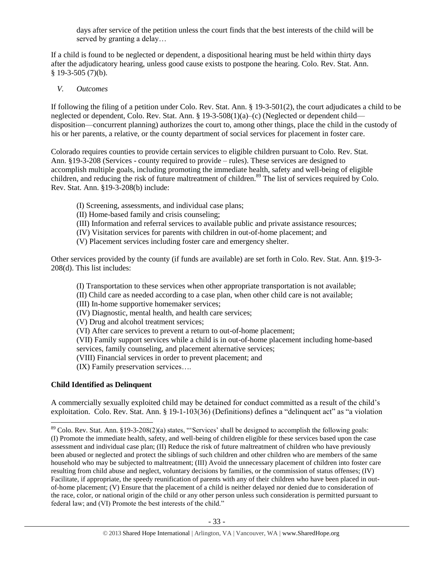days after service of the petition unless the court finds that the best interests of the child will be served by granting a delay…

If a child is found to be neglected or dependent, a dispositional hearing must be held within thirty days after the adjudicatory hearing, unless good cause exists to postpone the hearing. Colo. Rev. Stat. Ann.  $§$  19-3-505 (7)(b).

# *V. Outcomes*

If following the filing of a petition under Colo. Rev. Stat. Ann. § 19-3-501(2), the court adjudicates a child to be neglected or dependent, Colo. Rev. Stat. Ann. § 19-3-508(1)(a)–(c) (Neglected or dependent child disposition—concurrent planning) authorizes the court to, among other things, place the child in the custody of his or her parents, a relative, or the county department of social services for placement in foster care.

Colorado requires counties to provide certain services to eligible children pursuant to Colo. Rev. Stat. Ann. §19-3-208 (Services - county required to provide – rules). These services are designed to accomplish multiple goals, including promoting the immediate health, safety and well-being of eligible children, and reducing the risk of future maltreatment of children.<sup>89</sup> The list of services required by Colo. Rev. Stat. Ann. §19-3-208(b) include:

- (I) Screening, assessments, and individual case plans;
- (II) Home-based family and crisis counseling;
- (III) Information and referral services to available public and private assistance resources;
- (IV) Visitation services for parents with children in out-of-home placement; and
- (V) Placement services including foster care and emergency shelter.

Other services provided by the county (if funds are available) are set forth in Colo. Rev. Stat. Ann. §19-3- 208(d). This list includes:

(I) Transportation to these services when other appropriate transportation is not available;

(II) Child care as needed according to a case plan, when other child care is not available;

- (III) In-home supportive homemaker services;
- (IV) Diagnostic, mental health, and health care services;

(V) Drug and alcohol treatment services;

(VI) After care services to prevent a return to out-of-home placement;

(VII) Family support services while a child is in out-of-home placement including home-based services, family counseling, and placement alternative services;

(VIII) Financial services in order to prevent placement; and

(IX) Family preservation services….

# **Child Identified as Delinquent**

 $\overline{\phantom{a}}$ 

A commercially sexually exploited child may be detained for conduct committed as a result of the child's exploitation. Colo. Rev. Stat. Ann. § 19-1-103(36) (Definitions) defines a "delinquent act" as "a violation

 $89$  Colo. Rev. Stat. Ann. §19-3-208(2)(a) states, "Services' shall be designed to accomplish the following goals: (I) Promote the immediate health, safety, and well-being of children eligible for these services based upon the case assessment and individual case plan; (II) Reduce the risk of future maltreatment of children who have previously been abused or neglected and protect the siblings of such children and other children who are members of the same household who may be subjected to maltreatment; (III) Avoid the unnecessary placement of children into foster care resulting from child abuse and neglect, voluntary decisions by families, or the commission of status offenses; (IV) Facilitate, if appropriate, the speedy reunification of parents with any of their children who have been placed in outof-home placement; (V) Ensure that the placement of a child is neither delayed nor denied due to consideration of the race, color, or national origin of the child or any other person unless such consideration is permitted pursuant to federal law; and (VI) Promote the best interests of the child."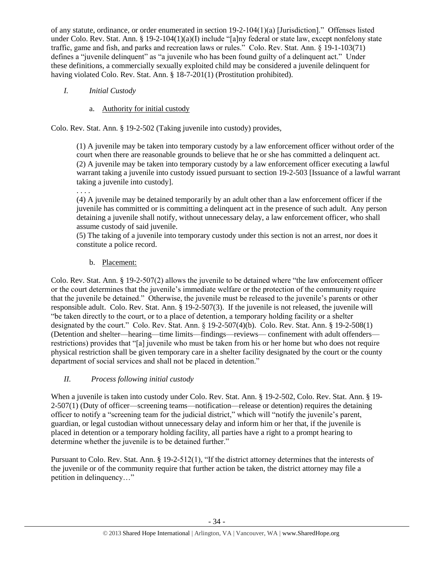of any statute, ordinance, or order enumerated in section 19-2-104(1)(a) [Jurisdiction]." Offenses listed under Colo. Rev. Stat. Ann. § 19-2-104(1)(a)(I) include "[a]ny federal or state law, except nonfelony state traffic, game and fish, and parks and recreation laws or rules." Colo. Rev. Stat. Ann. § 19-1-103(71) defines a "juvenile delinquent" as "a juvenile who has been found guilty of a delinquent act." Under these definitions, a commercially sexually exploited child may be considered a juvenile delinquent for having violated Colo. Rev. Stat. Ann. § 18-7-201(1) (Prostitution prohibited).

- *I. Initial Custody* 
	- a. Authority for initial custody

Colo. Rev. Stat. Ann. § 19-2-502 (Taking juvenile into custody) provides,

(1) A juvenile may be taken into temporary custody by a law enforcement officer without order of the court when there are reasonable grounds to believe that he or she has committed a delinquent act. (2) A juvenile may be taken into temporary custody by a law enforcement officer executing a lawful warrant taking a juvenile into custody issued pursuant to section 19-2-503 [Issuance of a lawful warrant taking a juvenile into custody].

. . . .

(4) A juvenile may be detained temporarily by an adult other than a law enforcement officer if the juvenile has committed or is committing a delinquent act in the presence of such adult. Any person detaining a juvenile shall notify, without unnecessary delay, a law enforcement officer, who shall assume custody of said juvenile.

(5) The taking of a juvenile into temporary custody under this section is not an arrest, nor does it constitute a police record.

b. Placement:

Colo. Rev. Stat. Ann. § 19-2-507(2) allows the juvenile to be detained where "the law enforcement officer or the court determines that the juvenile's immediate welfare or the protection of the community require that the juvenile be detained." Otherwise, the juvenile must be released to the juvenile's parents or other responsible adult. Colo. Rev. Stat. Ann. § 19-2-507(3). If the juvenile is not released, the juvenile will "be taken directly to the court, or to a place of detention, a temporary holding facility or a shelter designated by the court." Colo. Rev. Stat. Ann. § 19-2-507(4)(b). Colo. Rev. Stat. Ann. § 19-2-508(1) (Detention and shelter—hearing—time limits—findings—reviews— confinement with adult offenders restrictions) provides that "[a] juvenile who must be taken from his or her home but who does not require physical restriction shall be given temporary care in a shelter facility designated by the court or the county department of social services and shall not be placed in detention."

*II. Process following initial custody*

When a juvenile is taken into custody under Colo. Rev. Stat. Ann. § 19-2-502, Colo. Rev. Stat. Ann. § 19- 2-507(1) (Duty of officer—screening teams—notification—release or detention) requires the detaining officer to notify a "screening team for the judicial district," which will "notify the juvenile's parent, guardian, or legal custodian without unnecessary delay and inform him or her that, if the juvenile is placed in detention or a temporary holding facility, all parties have a right to a prompt hearing to determine whether the juvenile is to be detained further."

Pursuant to Colo. Rev. Stat. Ann. § 19-2-512(1), "If the district attorney determines that the interests of the juvenile or of the community require that further action be taken, the district attorney may file a petition in delinquency…"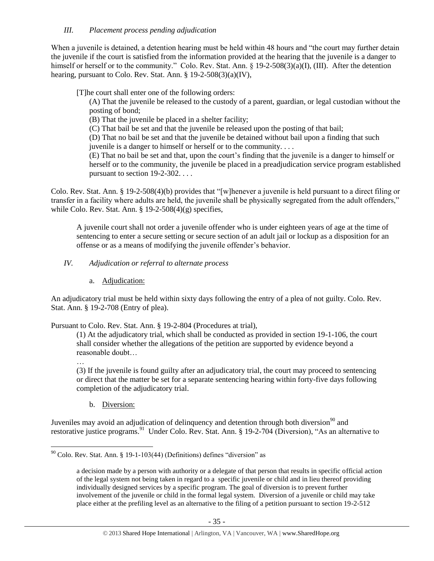# *III. Placement process pending adjudication*

When a juvenile is detained, a detention hearing must be held within 48 hours and "the court may further detain the juvenile if the court is satisfied from the information provided at the hearing that the juvenile is a danger to himself or herself or to the community." Colo. Rev. Stat. Ann. § 19-2-508(3)(a)(I), (III). After the detention hearing, pursuant to Colo. Rev. Stat. Ann. § 19-2-508(3)(a)(IV),

[T]he court shall enter one of the following orders:

(A) That the juvenile be released to the custody of a parent, guardian, or legal custodian without the posting of bond;

(B) That the juvenile be placed in a shelter facility;

(C) That bail be set and that the juvenile be released upon the posting of that bail;

(D) That no bail be set and that the juvenile be detained without bail upon a finding that such juvenile is a danger to himself or herself or to the community. . . .

(E) That no bail be set and that, upon the court's finding that the juvenile is a danger to himself or herself or to the community, the juvenile be placed in a preadjudication service program established pursuant to section 19-2-302. . . .

Colo. Rev. Stat. Ann. § 19-2-508(4)(b) provides that "[w]henever a juvenile is held pursuant to a direct filing or transfer in a facility where adults are held, the juvenile shall be physically segregated from the adult offenders," while Colo. Rev. Stat. Ann.  $\S 19-2-508(4)(g)$  specifies,

A juvenile court shall not order a juvenile offender who is under eighteen years of age at the time of sentencing to enter a secure setting or secure section of an adult jail or lockup as a disposition for an offense or as a means of modifying the juvenile offender's behavior.

## *IV. Adjudication or referral to alternate process*

a. Adjudication:

An adjudicatory trial must be held within sixty days following the entry of a plea of not guilty. Colo. Rev. Stat. Ann. § 19-2-708 (Entry of plea).

Pursuant to Colo. Rev. Stat. Ann. § 19-2-804 (Procedures at trial),

(1) At the adjudicatory trial, which shall be conducted as provided in section 19-1-106, the court shall consider whether the allegations of the petition are supported by evidence beyond a reasonable doubt…

…

 $\overline{\phantom{a}}$ 

(3) If the juvenile is found guilty after an adjudicatory trial, the court may proceed to sentencing or direct that the matter be set for a separate sentencing hearing within forty-five days following completion of the adjudicatory trial.

b. Diversion:

Juveniles may avoid an adjudication of delinquency and detention through both diversion<sup>90</sup> and restorative justice programs.<sup>91</sup> Under Colo. Rev. Stat. Ann. § 19-2-704 (Diversion), "As an alternative to

 $90$  Colo. Rev. Stat. Ann. § 19-1-103(44) (Definitions) defines "diversion" as

a decision made by a person with authority or a delegate of that person that results in specific official action of the legal system not being taken in regard to a specific juvenile or child and in lieu thereof providing individually designed services by a specific program. The goal of diversion is to prevent further involvement of the juvenile or child in the formal legal system. Diversion of a juvenile or child may take place either at the prefiling level as an alternative to the filing of a petition pursuant to section 19-2-512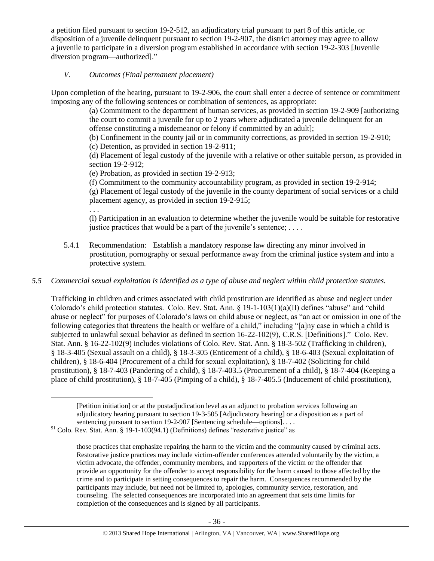a petition filed pursuant to section 19-2-512, an adjudicatory trial pursuant to part 8 of this article, or disposition of a juvenile delinquent pursuant to section 19-2-907, the district attorney may agree to allow a juvenile to participate in a diversion program established in accordance with section 19-2-303 [Juvenile diversion program—authorized]."

# *V. Outcomes (Final permanent placement)*

Upon completion of the hearing, pursuant to 19-2-906, the court shall enter a decree of sentence or commitment imposing any of the following sentences or combination of sentences, as appropriate:

> (a) Commitment to the department of human services, as provided in section 19-2-909 [authorizing the court to commit a juvenile for up to 2 years where adjudicated a juvenile delinquent for an offense constituting a misdemeanor or felony if committed by an adult];

(b) Confinement in the county jail or in community corrections, as provided in section 19-2-910;

(c) Detention, as provided in section 19-2-911;

(d) Placement of legal custody of the juvenile with a relative or other suitable person, as provided in section 19-2-912;

(e) Probation, as provided in section 19-2-913;

(f) Commitment to the community accountability program, as provided in section 19-2-914;

(g) Placement of legal custody of the juvenile in the county department of social services or a child placement agency, as provided in section 19-2-915;

. . .

 $\overline{\phantom{a}}$ 

(l) Participation in an evaluation to determine whether the juvenile would be suitable for restorative justice practices that would be a part of the juvenile's sentence;  $\dots$ .

5.4.1 Recommendation: Establish a mandatory response law directing any minor involved in prostitution, pornography or sexual performance away from the criminal justice system and into a protective system.

# *5.5 Commercial sexual exploitation is identified as a type of abuse and neglect within child protection statutes.*

Trafficking in children and crimes associated with child prostitution are identified as abuse and neglect under Colorado's child protection statutes. Colo. Rev. Stat. Ann. § 19-1-103(1)(a)(II) defines "abuse" and "child abuse or neglect" for purposes of Colorado's laws on child abuse or neglect, as "an act or omission in one of the following categories that threatens the health or welfare of a child," including "[a]ny case in which a child is subjected to unlawful sexual behavior as defined in section 16-22-102(9), C.R.S. [Definitions]." Colo. Rev. Stat. Ann. § 16-22-102(9) includes violations of Colo. Rev. Stat. Ann. § 18-3-502 (Trafficking in children), § 18-3-405 (Sexual assault on a child), § 18-3-305 (Enticement of a child), § 18-6-403 (Sexual exploitation of children), § 18-6-404 (Procurement of a child for sexual exploitation), § 18-7-402 (Soliciting for child prostitution), § 18-7-403 (Pandering of a child), § 18-7-403.5 (Procurement of a child), § 18-7-404 (Keeping a place of child prostitution), § 18-7-405 (Pimping of a child), § 18-7-405.5 (Inducement of child prostitution),

[Petition initiation] or at the postadjudication level as an adjunct to probation services following an adjudicatory hearing pursuant to section 19-3-505 [Adjudicatory hearing] or a disposition as a part of sentencing pursuant to section 19-2-907 [Sentencing schedule—options]. . . .

 $91$  Colo. Rev. Stat. Ann. § 19-1-103(94.1) (Definitions) defines "restorative justice" as

those practices that emphasize repairing the harm to the victim and the community caused by criminal acts. Restorative justice practices may include victim-offender conferences attended voluntarily by the victim, a victim advocate, the offender, community members, and supporters of the victim or the offender that provide an opportunity for the offender to accept responsibility for the harm caused to those affected by the crime and to participate in setting consequences to repair the harm. Consequences recommended by the participants may include, but need not be limited to, apologies, community service, restoration, and counseling. The selected consequences are incorporated into an agreement that sets time limits for completion of the consequences and is signed by all participants.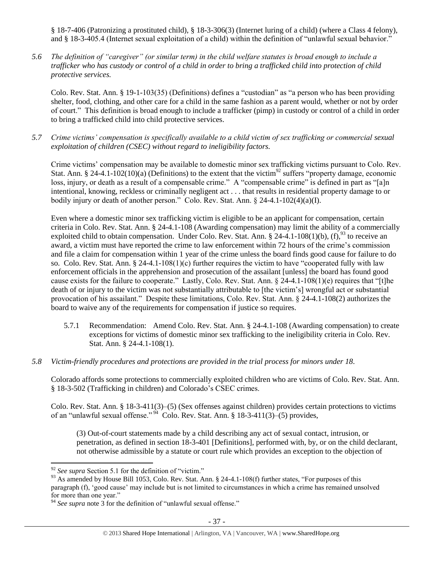§ 18-7-406 (Patronizing a prostituted child), § 18-3-306(3) (Internet luring of a child) (where a Class 4 felony), and § 18-3-405.4 (Internet sexual exploitation of a child) within the definition of "unlawful sexual behavior."

*5.6 The definition of "caregiver" (or similar term) in the child welfare statutes is broad enough to include a trafficker who has custody or control of a child in order to bring a trafficked child into protection of child protective services.*

Colo. Rev. Stat. Ann. § 19-1-103(35) (Definitions) defines a "custodian" as "a person who has been providing shelter, food, clothing, and other care for a child in the same fashion as a parent would, whether or not by order of court." This definition is broad enough to include a trafficker (pimp) in custody or control of a child in order to bring a trafficked child into child protective services.

*5.7 Crime victims' compensation is specifically available to a child victim of sex trafficking or commercial sexual exploitation of children (CSEC) without regard to ineligibility factors.*

Crime victims' compensation may be available to domestic minor sex trafficking victims pursuant to Colo. Rev. Stat. Ann. § 24-4.1-102(10)(a) (Definitions) to the extent that the victim<sup>92</sup> suffers "property damage, economic loss, injury, or death as a result of a compensable crime." A "compensable crime" is defined in part as "[a]n intentional, knowing, reckless or criminally negligent act . . . that results in residential property damage to or bodily injury or death of another person." Colo. Rev. Stat. Ann. § 24-4.1-102(4)(a)(I).

Even where a domestic minor sex trafficking victim is eligible to be an applicant for compensation, certain criteria in Colo. Rev. Stat. Ann. § 24-4.1-108 (Awarding compensation) may limit the ability of a commercially exploited child to obtain compensation. Under Colo. Rev. Stat. Ann. § 24-4.1-108(1)(b), (f),  $93$  to receive an award, a victim must have reported the crime to law enforcement within 72 hours of the crime's commission and file a claim for compensation within 1 year of the crime unless the board finds good cause for failure to do so. Colo. Rev. Stat. Ann.  $\S 24-4.1-108(1)(c)$  further requires the victim to have "cooperated fully with law enforcement officials in the apprehension and prosecution of the assailant [unless] the board has found good cause exists for the failure to cooperate." Lastly, Colo. Rev. Stat. Ann. § 24-4.1-108(1)(e) requires that "[t]he death of or injury to the victim was not substantially attributable to [the victim's] wrongful act or substantial provocation of his assailant." Despite these limitations, Colo. Rev. Stat. Ann. § 24-4.1-108(2) authorizes the board to waive any of the requirements for compensation if justice so requires.

- 5.7.1 Recommendation: Amend Colo. Rev. Stat. Ann. § 24-4.1-108 (Awarding compensation) to create exceptions for victims of domestic minor sex trafficking to the ineligibility criteria in Colo. Rev. Stat. Ann. § 24-4.1-108(1).
- *5.8 Victim-friendly procedures and protections are provided in the trial process for minors under 18.*

Colorado affords some protections to commercially exploited children who are victims of Colo. Rev. Stat. Ann. § 18-3-502 (Trafficking in children) and Colorado's CSEC crimes.

Colo. Rev. Stat. Ann. § 18-3-411(3)–(5) (Sex offenses against children) provides certain protections to victims of an "unlawful sexual offense."<sup>94</sup> Colo. Rev. Stat. Ann. § 18-3-411(3)–(5) provides,

(3) Out-of-court statements made by a child describing any act of sexual contact, intrusion, or penetration, as defined in section 18-3-401 [Definitions], performed with, by, or on the child declarant, not otherwise admissible by a statute or court rule which provides an exception to the objection of

 $\overline{a}$ 

<sup>&</sup>lt;sup>92</sup> See supra Section 5.1 for the definition of "victim."

<sup>&</sup>lt;sup>93</sup> As amended by House Bill 1053, Colo. Rev. Stat. Ann. § 24-4.1-108(f) further states, "For purposes of this paragraph (f), 'good cause' may include but is not limited to circumstances in which a crime has remained unsolved for more than one year."

<sup>&</sup>lt;sup>94</sup> See supra note [3](#page-1-0) for the definition of "unlawful sexual offense."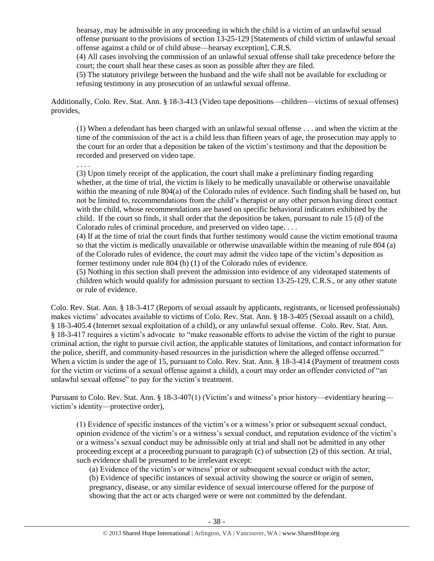hearsay, may be admissible in any proceeding in which the child is a victim of an unlawful sexual offense pursuant to the provisions of section 13-25-129 [Statements of child victim of unlawful sexual offense against a child or of child abuse—hearsay exception], C.R.S.

(4) All cases involving the commission of an unlawful sexual offense shall take precedence before the court; the court shall hear these cases as soon as possible after they are filed.

(5) The statutory privilege between the husband and the wife shall not be available for excluding or refusing testimony in any prosecution of an unlawful sexual offense.

Additionally, Colo. Rev. Stat. Ann. § 18-3-413 (Video tape depositions—children—victims of sexual offenses) provides,

(1) When a defendant has been charged with an unlawful sexual offense . . . and when the victim at the time of the commission of the act is a child less than fifteen years of age, the prosecution may apply to the court for an order that a deposition be taken of the victim's testimony and that the deposition be recorded and preserved on video tape.

. . . .

(3) Upon timely receipt of the application, the court shall make a preliminary finding regarding whether, at the time of trial, the victim is likely to be medically unavailable or otherwise unavailable within the meaning of rule 804(a) of the Colorado rules of evidence. Such finding shall be based on, but not be limited to, recommendations from the child's therapist or any other person having direct contact with the child, whose recommendations are based on specific behavioral indicators exhibited by the child. If the court so finds, it shall order that the deposition be taken, pursuant to rule 15 (d) of the Colorado rules of criminal procedure, and preserved on video tape. . . .

(4) If at the time of trial the court finds that further testimony would cause the victim emotional trauma so that the victim is medically unavailable or otherwise unavailable within the meaning of rule 804 (a) of the Colorado rules of evidence, the court may admit the video tape of the victim's deposition as former testimony under rule 804 (b) (1) of the Colorado rules of evidence.

(5) Nothing in this section shall prevent the admission into evidence of any videotaped statements of children which would qualify for admission pursuant to section 13-25-129, C.R.S., or any other statute or rule of evidence.

Colo. Rev. Stat. Ann. § 18-3-417 (Reports of sexual assault by applicants, registrants, or licensed professionals) makes victims' advocates available to victims of Colo. Rev. Stat. Ann. § 18-3-405 (Sexual assault on a child), § 18-3-405.4 (Internet sexual exploitation of a child), or any unlawful sexual offense. Colo. Rev. Stat. Ann. § 18-3-417 requires a victim's advocate to "make reasonable efforts to advise the victim of the right to pursue criminal action, the right to pursue civil action, the applicable statutes of limitations, and contact information for the police, sheriff, and community-based resources in the jurisdiction where the alleged offense occurred." When a victim is under the age of 15, pursuant to Colo. Rev. Stat. Ann. § 18-3-414 (Payment of treatment costs for the victim or victims of a sexual offense against a child), a court may order an offender convicted of "an unlawful sexual offense" to pay for the victim's treatment.

Pursuant to Colo. Rev. Stat. Ann. § 18-3-407(1) (Victim's and witness's prior history—evidentiary hearing victim's identity—protective order),

(1) Evidence of specific instances of the victim's or a witness's prior or subsequent sexual conduct, opinion evidence of the victim's or a witness's sexual conduct, and reputation evidence of the victim's or a witness's sexual conduct may be admissible only at trial and shall not be admitted in any other proceeding except at a proceeding pursuant to paragraph (c) of subsection (2) of this section. At trial, such evidence shall be presumed to be irrelevant except:

(a) Evidence of the victim's or witness' prior or subsequent sexual conduct with the actor; (b) Evidence of specific instances of sexual activity showing the source or origin of semen, pregnancy, disease, or any similar evidence of sexual intercourse offered for the purpose of showing that the act or acts charged were or were not committed by the defendant.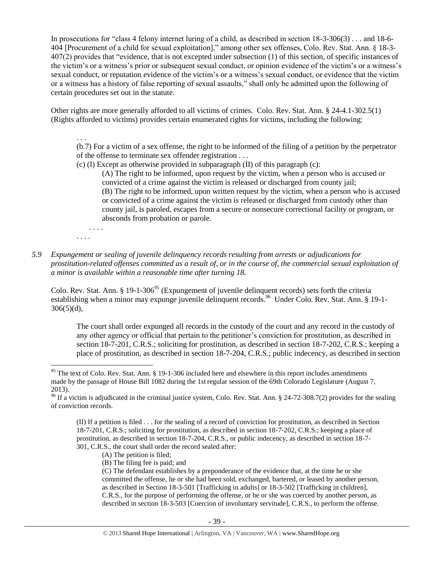In prosecutions for "class 4 felony internet luring of a child, as described in section 18-3-306(3) . . . and 18-6- 404 [Procurement of a child for sexual exploitation]," among other sex offenses, Colo. Rev. Stat. Ann. § 18-3- 407(2) provides that "evidence, that is not excepted under subsection (1) of this section, of specific instances of the victim's or a witness's prior or subsequent sexual conduct, or opinion evidence of the victim's or a witness's sexual conduct, or reputation evidence of the victim's or a witness's sexual conduct, or evidence that the victim or a witness has a history of false reporting of sexual assaults," shall only be admitted upon the following of certain procedures set out in the statute.

Other rights are more generally afforded to all victims of crimes. Colo. Rev. Stat. Ann. § 24-4.1-302.5(1) (Rights afforded to victims) provides certain enumerated rights for victims, including the following:

(b.7) For a victim of a sex offense, the right to be informed of the filing of a petition by the perpetrator of the offense to terminate sex offender registration . . .

(c) (I) Except as otherwise provided in subparagraph (II) of this paragraph (c):

(A) The right to be informed, upon request by the victim, when a person who is accused or convicted of a crime against the victim is released or discharged from county jail; (B) The right to be informed, upon written request by the victim, when a person who is accused or convicted of a crime against the victim is released or discharged from custody other than county jail, is paroled, escapes from a secure or nonsecure correctional facility or program, or absconds from probation or parole.

. . . .

. . . .

 $\overline{\phantom{a}}$ 

. . .

*5.9 Expungement or sealing of juvenile delinquency records resulting from arrests or adjudications for prostitution-related offenses committed as a result of, or in the course of, the commercial sexual exploitation of a minor is available within a reasonable time after turning 18.*

Colo. Rev. Stat. Ann. § 19-1-306<sup>95</sup> (Expungement of juvenile delinquent records) sets forth the criteria establishing when a minor may expunge juvenile delinquent records.<sup>96</sup> Under Colo. Rev. Stat. Ann. § 19-1- $306(5)(d)$ ,

The court shall order expunged all records in the custody of the court and any record in the custody of any other agency or official that pertain to the petitioner's conviction for prostitution, as described in section 18-7-201, C.R.S.; soliciting for prostitution, as described in section 18-7-202, C.R.S.; keeping a place of prostitution, as described in section 18-7-204, C.R.S.; public indecency, as described in section

(B) The filing fee is paid; and

(C) The defendant establishes by a preponderance of the evidence that, at the time he or she committed the offense, he or she had been sold, exchanged, bartered, or leased by another person, as described in Section 18-3-501 [Trafficking in adults] or 18-3-502 [Trafficking in children], C.R.S., for the purpose of performing the offense, or he or she was coerced by another person, as described in section 18-3-503 [Coercion of involuntary servitude], C.R.S., to perform the offense.

<sup>&</sup>lt;sup>95</sup> The text of Colo. Rev. Stat. Ann. § 19-1-306 included here and elsewhere in this report includes amendments made by the passage of House Bill 1082 during the 1st regular session of the 69th Colorado Legislature (August 7, 2013).

<sup>&</sup>lt;sup>96</sup> If a victim is adjudicated in the criminal justice system, Colo. Rev. Stat. Ann. § 24-72-308.7(2) provides for the sealing of conviction records.

<sup>(</sup>II) If a petition is filed . . . for the sealing of a record of conviction for prostitution, as described in Section 18-7-201, C.R.S.; soliciting for prostitution, as described in section 18-7-202, C.R.S.; keeping a place of prostitution, as described in section 18-7-204, C.R.S., or public indecency, as described in section 18-7- 301, C.R.S., the court shall order the record sealed after:

<sup>(</sup>A) The petition is filed;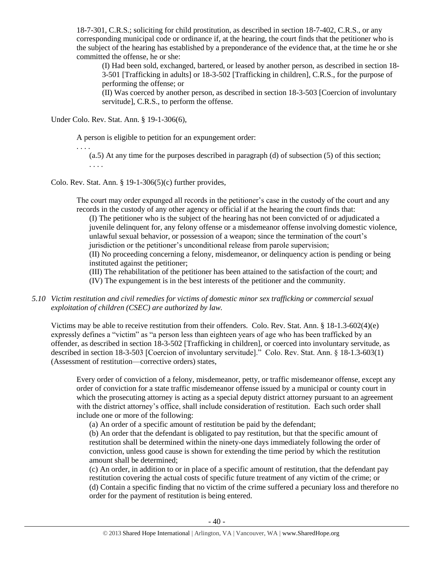18-7-301, C.R.S.; soliciting for child prostitution, as described in section 18-7-402, C.R.S., or any corresponding municipal code or ordinance if, at the hearing, the court finds that the petitioner who is the subject of the hearing has established by a preponderance of the evidence that, at the time he or she committed the offense, he or she:

(I) Had been sold, exchanged, bartered, or leased by another person, as described in section 18- 3-501 [Trafficking in adults] or 18-3-502 [Trafficking in children], C.R.S., for the purpose of performing the offense; or

(II) Was coerced by another person, as described in section 18-3-503 [Coercion of involuntary servitude], C.R.S., to perform the offense.

Under Colo. Rev. Stat. Ann. § 19-1-306(6),

A person is eligible to petition for an expungement order:

. . . . (a.5) At any time for the purposes described in paragraph (d) of subsection (5) of this section; . . . .

Colo. Rev. Stat. Ann.  $\S 19-1-306(5)(c)$  further provides,

The court may order expunged all records in the petitioner's case in the custody of the court and any records in the custody of any other agency or official if at the hearing the court finds that:

(I) The petitioner who is the subject of the hearing has not been convicted of or adjudicated a juvenile delinquent for, any felony offense or a misdemeanor offense involving domestic violence, unlawful sexual behavior, or possession of a weapon; since the termination of the court's jurisdiction or the petitioner's unconditional release from parole supervision;

(II) No proceeding concerning a felony, misdemeanor, or delinquency action is pending or being instituted against the petitioner;

(III) The rehabilitation of the petitioner has been attained to the satisfaction of the court; and (IV) The expungement is in the best interests of the petitioner and the community.

# *5.10 Victim restitution and civil remedies for victims of domestic minor sex trafficking or commercial sexual exploitation of children (CSEC) are authorized by law.*

Victims may be able to receive restitution from their offenders. Colo. Rev. Stat. Ann. § 18-1.3-602(4)(e) expressly defines a "victim" as "a person less than eighteen years of age who has been trafficked by an offender, as described in section 18-3-502 [Trafficking in children], or coerced into involuntary servitude, as described in section 18-3-503 [Coercion of involuntary servitude]." Colo. Rev. Stat. Ann. § 18-1.3-603(1) (Assessment of restitution—corrective orders) states,

Every order of conviction of a felony, misdemeanor, petty, or traffic misdemeanor offense, except any order of conviction for a state traffic misdemeanor offense issued by a municipal or county court in which the prosecuting attorney is acting as a special deputy district attorney pursuant to an agreement with the district attorney's office, shall include consideration of restitution. Each such order shall include one or more of the following:

(a) An order of a specific amount of restitution be paid by the defendant;

(b) An order that the defendant is obligated to pay restitution, but that the specific amount of restitution shall be determined within the ninety-one days immediately following the order of conviction, unless good cause is shown for extending the time period by which the restitution amount shall be determined;

(c) An order, in addition to or in place of a specific amount of restitution, that the defendant pay restitution covering the actual costs of specific future treatment of any victim of the crime; or (d) Contain a specific finding that no victim of the crime suffered a pecuniary loss and therefore no order for the payment of restitution is being entered.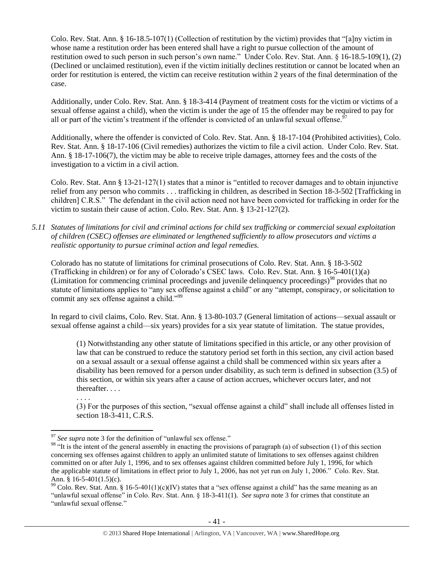Colo. Rev. Stat. Ann. § 16-18.5-107(1) (Collection of restitution by the victim) provides that "[a]ny victim in whose name a restitution order has been entered shall have a right to pursue collection of the amount of restitution owed to such person in such person's own name." Under Colo. Rev. Stat. Ann. § 16-18.5-109(1), (2) (Declined or unclaimed restitution), even if the victim initially declines restitution or cannot be located when an order for restitution is entered, the victim can receive restitution within 2 years of the final determination of the case.

Additionally, under Colo. Rev. Stat. Ann. § 18-3-414 (Payment of treatment costs for the victim or victims of a sexual offense against a child), when the victim is under the age of 15 the offender may be required to pay for all or part of the victim's treatment if the offender is convicted of an unlawful sexual offense.<sup>9</sup>

Additionally, where the offender is convicted of Colo. Rev. Stat. Ann. § 18-17-104 (Prohibited activities), Colo. Rev. Stat. Ann. § 18-17-106 (Civil remedies) authorizes the victim to file a civil action. Under Colo. Rev. Stat. Ann. § 18-17-106(7), the victim may be able to receive triple damages, attorney fees and the costs of the investigation to a victim in a civil action.

Colo. Rev. Stat. Ann § 13-21-127(1) states that a minor is "entitled to recover damages and to obtain injunctive relief from any person who commits . . . trafficking in children, as described in Section 18-3-502 [Trafficking in children] C.R.S." The defendant in the civil action need not have been convicted for trafficking in order for the victim to sustain their cause of action. Colo. Rev. Stat. Ann. § 13-21-127(2).

*5.11 Statutes of limitations for civil and criminal actions for child sex trafficking or commercial sexual exploitation of children (CSEC) offenses are eliminated or lengthened sufficiently to allow prosecutors and victims a realistic opportunity to pursue criminal action and legal remedies.*

Colorado has no statute of limitations for criminal prosecutions of Colo. Rev. Stat. Ann. § 18-3-502 (Trafficking in children) or for any of Colorado's CSEC laws. Colo. Rev. Stat. Ann. § 16-5-401(1)(a) (Limitation for commencing criminal proceedings and juvenile delinquency proceedings)<sup>98</sup> provides that no statute of limitations applies to "any sex offense against a child" or any "attempt, conspiracy, or solicitation to commit any sex offense against a child."<sup>99</sup>

In regard to civil claims, Colo. Rev. Stat. Ann. § 13-80-103.7 (General limitation of actions—sexual assault or sexual offense against a child—six years) provides for a six year statute of limitation. The statue provides,

(1) Notwithstanding any other statute of limitations specified in this article, or any other provision of law that can be construed to reduce the statutory period set forth in this section, any civil action based on a sexual assault or a sexual offense against a child shall be commenced within six years after a disability has been removed for a person under disability, as such term is defined in subsection (3.5) of this section, or within six years after a cause of action accrues, whichever occurs later, and not thereafter. . . .

. . . .

(3) For the purposes of this section, "sexual offense against a child" shall include all offenses listed in section 18-3-411, C.R.S.

 $\overline{\phantom{a}}$ <sup>97</sup> *See supra* note [3](#page-1-0) for the definition of "unlawful sex offense."

<sup>98 &</sup>quot;It is the intent of the general assembly in enacting the provisions of paragraph (a) of subsection (1) of this section concerning sex offenses against children to apply an unlimited statute of limitations to sex offenses against children committed on or after July 1, 1996, and to sex offenses against children committed before July 1, 1996, for which the applicable statute of limitations in effect prior to July 1, 2006, has not yet run on July 1, 2006." Colo. Rev. Stat. Ann. § 16-5-401(1.5)(c).

<sup>&</sup>lt;sup>99</sup> Colo. Rev. Stat. Ann. § 16-5-401(1)(c)(IV) states that a "sex offense against a child" has the same meaning as an "unlawful sexual offense" in Colo. Rev. Stat. Ann. § 18-3-411(1). *See supra* note [3](#page-1-0) for crimes that constitute an "unlawful sexual offense."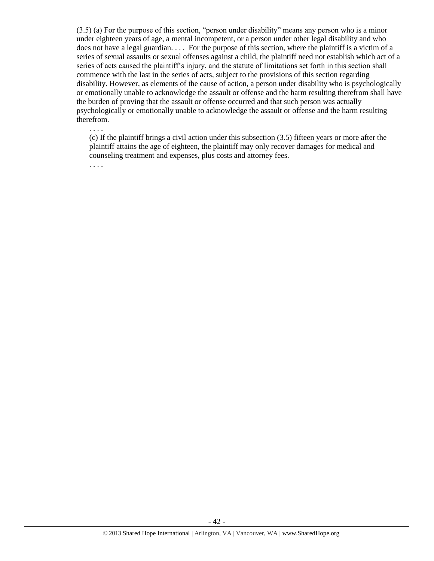(3.5) (a) For the purpose of this section, "person under disability" means any person who is a minor under eighteen years of age, a mental incompetent, or a person under other legal disability and who does not have a legal guardian. . . . For the purpose of this section, where the plaintiff is a victim of a series of sexual assaults or sexual offenses against a child, the plaintiff need not establish which act of a series of acts caused the plaintiff's injury, and the statute of limitations set forth in this section shall commence with the last in the series of acts, subject to the provisions of this section regarding disability. However, as elements of the cause of action, a person under disability who is psychologically or emotionally unable to acknowledge the assault or offense and the harm resulting therefrom shall have the burden of proving that the assault or offense occurred and that such person was actually psychologically or emotionally unable to acknowledge the assault or offense and the harm resulting therefrom.

. . . .

(c) If the plaintiff brings a civil action under this subsection (3.5) fifteen years or more after the plaintiff attains the age of eighteen, the plaintiff may only recover damages for medical and counseling treatment and expenses, plus costs and attorney fees.

. . . .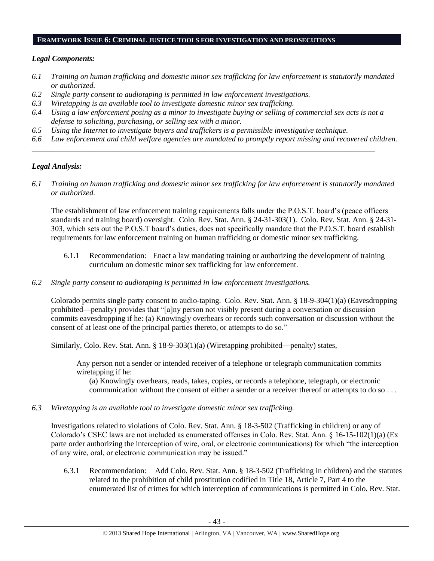#### **FRAMEWORK ISSUE 6: CRIMINAL JUSTICE TOOLS FOR INVESTIGATION AND PROSECUTIONS**

## *Legal Components:*

- *6.1 Training on human trafficking and domestic minor sex trafficking for law enforcement is statutorily mandated or authorized.*
- *6.2 Single party consent to audiotaping is permitted in law enforcement investigations.*
- *6.3 Wiretapping is an available tool to investigate domestic minor sex trafficking.*
- *6.4 Using a law enforcement posing as a minor to investigate buying or selling of commercial sex acts is not a defense to soliciting, purchasing, or selling sex with a minor.*

*\_\_\_\_\_\_\_\_\_\_\_\_\_\_\_\_\_\_\_\_\_\_\_\_\_\_\_\_\_\_\_\_\_\_\_\_\_\_\_\_\_\_\_\_\_\_\_\_\_\_\_\_\_\_\_\_\_\_\_\_\_\_\_\_\_\_\_\_\_\_\_\_\_\_\_\_\_\_\_\_\_\_\_\_\_\_\_\_*

- *6.5 Using the Internet to investigate buyers and traffickers is a permissible investigative technique.*
- *6.6 Law enforcement and child welfare agencies are mandated to promptly report missing and recovered children.*

# *Legal Analysis:*

*6.1 Training on human trafficking and domestic minor sex trafficking for law enforcement is statutorily mandated or authorized.*

The establishment of law enforcement training requirements falls under the P.O.S.T. board's (peace officers standards and training board) oversight. Colo. Rev. Stat. Ann. § 24-31-303(1). Colo. Rev. Stat. Ann. § 24-31- 303, which sets out the P.O.S.T board's duties, does not specifically mandate that the P.O.S.T. board establish requirements for law enforcement training on human trafficking or domestic minor sex trafficking.

- 6.1.1 Recommendation: Enact a law mandating training or authorizing the development of training curriculum on domestic minor sex trafficking for law enforcement.
- *6.2 Single party consent to audiotaping is permitted in law enforcement investigations.*

Colorado permits single party consent to audio-taping. Colo. Rev. Stat. Ann. § 18-9-304(1)(a) (Eavesdropping prohibited—penalty) provides that "[a]ny person not visibly present during a conversation or discussion commits eavesdropping if he: (a) Knowingly overhears or records such conversation or discussion without the consent of at least one of the principal parties thereto, or attempts to do so."

Similarly, Colo. Rev. Stat. Ann. § 18-9-303(1)(a) (Wiretapping prohibited—penalty) states,

Any person not a sender or intended receiver of a telephone or telegraph communication commits wiretapping if he:

(a) Knowingly overhears, reads, takes, copies, or records a telephone, telegraph, or electronic communication without the consent of either a sender or a receiver thereof or attempts to do so . . .

*6.3 Wiretapping is an available tool to investigate domestic minor sex trafficking.* 

Investigations related to violations of Colo. Rev. Stat. Ann. § 18-3-502 (Trafficking in children) or any of Colorado's CSEC laws are not included as enumerated offenses in Colo. Rev. Stat. Ann. § 16-15-102(1)(a) (Ex parte order authorizing the interception of wire, oral, or electronic communications) for which "the interception of any wire, oral, or electronic communication may be issued."

6.3.1 Recommendation: Add Colo. Rev. Stat. Ann. § 18-3-502 (Trafficking in children) and the statutes related to the prohibition of child prostitution codified in Title 18, Article 7, Part 4 to the enumerated list of crimes for which interception of communications is permitted in Colo. Rev. Stat.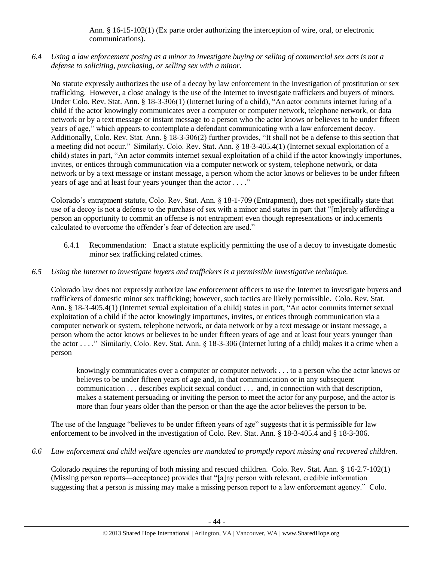Ann. § 16-15-102(1) (Ex parte order authorizing the interception of wire, oral, or electronic communications).

*6.4 Using a law enforcement posing as a minor to investigate buying or selling of commercial sex acts is not a defense to soliciting, purchasing, or selling sex with a minor.*

No statute expressly authorizes the use of a decoy by law enforcement in the investigation of prostitution or sex trafficking. However, a close analogy is the use of the Internet to investigate traffickers and buyers of minors. Under Colo. Rev. Stat. Ann. § 18-3-306(1) (Internet luring of a child), "An actor commits internet luring of a child if the actor knowingly communicates over a computer or computer network, telephone network, or data network or by a text message or instant message to a person who the actor knows or believes to be under fifteen years of age," which appears to contemplate a defendant communicating with a law enforcement decoy. Additionally, Colo. Rev. Stat. Ann. § 18-3-306(2) further provides, "It shall not be a defense to this section that a meeting did not occur." Similarly, Colo. Rev. Stat. Ann. § 18-3-405.4(1) (Internet sexual exploitation of a child) states in part, "An actor commits internet sexual exploitation of a child if the actor knowingly importunes, invites, or entices through communication via a computer network or system, telephone network, or data network or by a text message or instant message, a person whom the actor knows or believes to be under fifteen years of age and at least four years younger than the actor . . . ."

Colorado's entrapment statute, Colo. Rev. Stat. Ann. § 18-1-709 (Entrapment), does not specifically state that use of a decoy is not a defense to the purchase of sex with a minor and states in part that "[m]erely affording a person an opportunity to commit an offense is not entrapment even though representations or inducements calculated to overcome the offender's fear of detection are used."

6.4.1 Recommendation: Enact a statute explicitly permitting the use of a decoy to investigate domestic minor sex trafficking related crimes.

## *6.5 Using the Internet to investigate buyers and traffickers is a permissible investigative technique.*

Colorado law does not expressly authorize law enforcement officers to use the Internet to investigate buyers and traffickers of domestic minor sex trafficking; however, such tactics are likely permissible. Colo. Rev. Stat. Ann. § 18-3-405.4(1) (Internet sexual exploitation of a child) states in part, "An actor commits internet sexual exploitation of a child if the actor knowingly importunes, invites, or entices through communication via a computer network or system, telephone network, or data network or by a text message or instant message, a person whom the actor knows or believes to be under fifteen years of age and at least four years younger than the actor . . . ." Similarly, Colo. Rev. Stat. Ann. § 18-3-306 (Internet luring of a child) makes it a crime when a person

knowingly communicates over a computer or computer network . . . to a person who the actor knows or believes to be under fifteen years of age and, in that communication or in any subsequent communication . . . describes explicit sexual conduct . . . and, in connection with that description, makes a statement persuading or inviting the person to meet the actor for any purpose, and the actor is more than four years older than the person or than the age the actor believes the person to be.

The use of the language "believes to be under fifteen years of age" suggests that it is permissible for law enforcement to be involved in the investigation of Colo. Rev. Stat. Ann. § 18-3-405.4 and § 18-3-306.

*6.6 Law enforcement and child welfare agencies are mandated to promptly report missing and recovered children.* 

Colorado requires the reporting of both missing and rescued children. Colo. Rev. Stat. Ann. § 16-2.7-102(1) (Missing person reports—acceptance) provides that "[a]ny person with relevant, credible information suggesting that a person is missing may make a missing person report to a law enforcement agency." Colo.